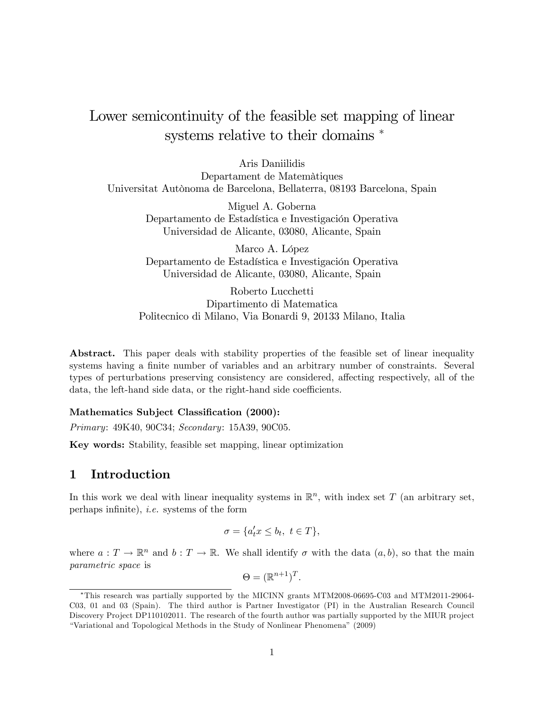# Lower semicontinuity of the feasible set mapping of linear systems relative to their domains  $*$

Aris Daniilidis Departament de Matemàtiques Universitat Autònoma de Barcelona, Bellaterra, 08193 Barcelona, Spain

> Miguel A. Goberna Departamento de Estadística e Investigación Operativa Universidad de Alicante, 03080, Alicante, Spain

> Marco A. López Departamento de Estadística e Investigación Operativa Universidad de Alicante, 03080, Alicante, Spain

Roberto Lucchetti Dipartimento di Matematica Politecnico di Milano, Via Bonardi 9, 20133 Milano, Italia

Abstract. This paper deals with stability properties of the feasible set of linear inequality systems having a finite number of variables and an arbitrary number of constraints. Several types of perturbations preserving consistency are considered, affecting respectively, all of the data, the left-hand side data, or the right-hand side coefficients.

#### Mathematics Subject Classification (2000):

Primary: 49K40, 90C34; Secondary: 15A39, 90C05.

Key words: Stability, feasible set mapping, linear optimization

#### 1 Introduction

In this work we deal with linear inequality systems in  $\mathbb{R}^n$ , with index set T (an arbitrary set, perhaps infinite), *i.e.* systems of the form

$$
\sigma = \{a'_t x \le b_t, \ t \in T\},\
$$

where  $a: T \to \mathbb{R}^n$  and  $b: T \to \mathbb{R}$ . We shall identify  $\sigma$  with the data  $(a, b)$ , so that the main parametric space is

$$
\Theta = (\mathbb{R}^{n+1})^T.
$$

This research was partially supported by the MICINN grants MTM2008-06695-C03 and MTM2011-29064- C03, 01 and 03 (Spain). The third author is Partner Investigator (PI) in the Australian Research Council Discovery Project DP110102011. The research of the fourth author was partially supported by the MIUR project ìVariational and Topological Methods in the Study of Nonlinear Phenomenaî (2009)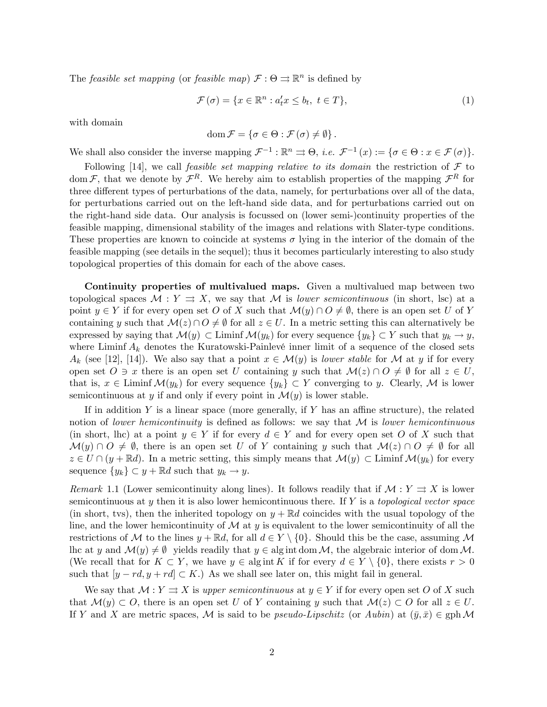The *feasible set mapping* (or *feasible map*)  $\mathcal{F}: \Theta \rightrightarrows \mathbb{R}^n$  is defined by

$$
\mathcal{F}(\sigma) = \{ x \in \mathbb{R}^n : a_t^{\prime} x \le b_t, \ t \in T \},\tag{1}
$$

with domain

$$
\operatorname{dom} \mathcal{F} = \left\{ \sigma \in \Theta : \mathcal{F}(\sigma) \neq \emptyset \right\}.
$$

We shall also consider the inverse mapping  $\mathcal{F}^{-1} : \mathbb{R}^n \rightrightarrows \Theta$ , *i.e.*  $\mathcal{F}^{-1}(x) := \{ \sigma \in \Theta : x \in \mathcal{F}(\sigma) \}.$ 

Following [14], we call *feasible set mapping relative to its domain* the restriction of  $\mathcal F$  to dom F, that we denote by  $\mathcal{F}^R$ . We hereby aim to establish properties of the mapping  $\mathcal{F}^R$  for three different types of perturbations of the data, namely, for perturbations over all of the data, for perturbations carried out on the left-hand side data, and for perturbations carried out on the right-hand side data. Our analysis is focussed on (lower semi-)continuity properties of the feasible mapping, dimensional stability of the images and relations with Slater-type conditions. These properties are known to coincide at systems  $\sigma$  lying in the interior of the domain of the feasible mapping (see details in the sequel); thus it becomes particularly interesting to also study topological properties of this domain for each of the above cases.

Continuity properties of multivalued maps. Given a multivalued map between two topological spaces  $\mathcal{M}: Y \rightrightarrows X$ , we say that  $\mathcal M$  is lower semicontinuous (in short, lsc) at a point  $y \in Y$  if for every open set O of X such that  $\mathcal{M}(y) \cap O \neq \emptyset$ , there is an open set U of Y containing y such that  $\mathcal{M}(z) \cap O \neq \emptyset$  for all  $z \in U$ . In a metric setting this can alternatively be expressed by saying that  $\mathcal{M}(y) \subset \text{Limit } \mathcal{M}(y_k)$  for every sequence  $\{y_k\} \subset Y$  such that  $y_k \to y$ , where Liminf  $A_k$  denotes the Kuratowski-Painlevé inner limit of a sequence of the closed sets  $A_k$  (see [12], [14]). We also say that a point  $x \in \mathcal{M}(y)$  is lower stable for M at y if for every open set  $O \ni x$  there is an open set U containing y such that  $\mathcal{M}(z) \cap O \neq \emptyset$  for all  $z \in U$ , that is,  $x \in \text{Limit } \mathcal{M}(y_k)$  for every sequence  $\{y_k\} \subset Y$  converging to y. Clearly, M is lower semicontinuous at y if and only if every point in  $\mathcal{M}(y)$  is lower stable.

If in addition Y is a linear space (more generally, if Y has an affine structure), the related notion of lower hemicontinuity is defined as follows: we say that  $\mathcal M$  is lower hemicontinuous (in short, lhc) at a point  $y \in Y$  if for every  $d \in Y$  and for every open set O of X such that  $\mathcal{M}(y) \cap O \neq \emptyset$ , there is an open set U of Y containing y such that  $\mathcal{M}(z) \cap O \neq \emptyset$  for all  $z \in U \cap (y + \mathbb{R}d)$ . In a metric setting, this simply means that  $\mathcal{M}(y) \subset \text{Limit } \mathcal{M}(y_k)$  for every sequence  $\{y_k\} \subset y + \mathbb{R}d$  such that  $y_k \to y$ .

Remark 1.1 (Lower semicontinuity along lines). It follows readily that if  $\mathcal{M}: Y \rightrightarrows X$  is lower semicontinuous at y then it is also lower hemicontinuous there. If Y is a topological vector space (in short, tvs), then the inherited topology on  $y + \mathbb{R}d$  coincides with the usual topology of the line, and the lower hemicontinuity of  $\mathcal M$  at  $y$  is equivalent to the lower semicontinuity of all the restrictions of M to the lines  $y + \mathbb{R}d$ , for all  $d \in Y \setminus \{0\}$ . Should this be the case, assuming M lhc at y and  $\mathcal{M}(y) \neq \emptyset$  yields readily that  $y \in \text{alg int dom }\mathcal{M}$ , the algebraic interior of dom M. (We recall that for  $K \subset Y$ , we have  $y \in \text{alg int } K$  if for every  $d \in Y \setminus \{0\}$ , there exists  $r > 0$ such that  $[y - rd, y + rd] \subset K$ .) As we shall see later on, this might fail in general.

We say that  $\mathcal{M}: Y \rightrightarrows X$  is upper semicontinuous at  $y \in Y$  if for every open set O of X such that  $\mathcal{M}(y) \subset O$ , there is an open set U of Y containing y such that  $\mathcal{M}(z) \subset O$  for all  $z \in U$ . If Y and X are metric spaces, M is said to be *pseudo-Lipschitz* (or Aubin) at  $(\bar{y}, \bar{x}) \in \text{gph } \mathcal{M}$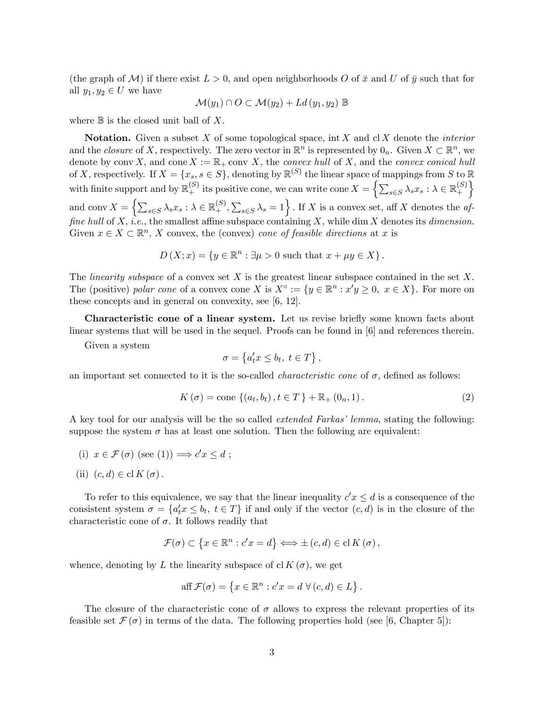(the graph of M) if there exist  $L > 0$ , and open neighborhoods O of  $\bar{x}$  and U of  $\bar{y}$  such that for all  $y_1, y_2 \in U$  we have

$$
\mathcal{M}(y_1) \cap O \subset \mathcal{M}(y_2) + Ld(y_1, y_2) \mathbb{B}
$$

where  $\mathbb B$  is the closed unit ball of X.

**Notation.** Given a subset X of some topological space, int X and cl X denote the *interior* and the *closure* of X, respectively. The zero vector in  $\mathbb{R}^n$  is represented by  $0_n$ . Given  $X \subset \mathbb{R}^n$ , we denote by conv X, and cone  $X := \mathbb{R}_+$  conv X, the convex hull of X, and the convex conical hull of X, respectively. If  $X = \{x_s, s \in S\}$ , denoting by  $\mathbb{R}^{(S)}$  the linear space of mappings from S to  $\mathbb{R}$ with finite support and by  $\mathbb{R}^{(S)}_+$  its positive cone, we can write cone  $X = \left\{ \sum_{s \in S} \lambda_s x_s : \lambda \in \mathbb{R}^{(S)}_+ \right\}$ +  $\mathfrak{d}$ and conv $X = \left\{ \sum_{s \in S} \lambda_s x_s : \lambda \in \mathbb{R}_+^{(S)}, \sum_{s \in S} \lambda_s = 1 \right\}$ . If X is a convex set, aff X denotes the affine hull of X, i.e., the smallest affine subspace containing X, while dim X denotes its dimension. Given  $x \in X \subset \mathbb{R}^n$ , X convex, the (convex) cone of feasible directions at x is

$$
D(X; x) = \{ y \in \mathbb{R}^n : \exists \mu > 0 \text{ such that } x + \mu y \in X \}.
$$

The *linearity subspace* of a convex set  $X$  is the greatest linear subspace contained in the set  $X$ . The (positive) polar cone of a convex cone X is  $X^{\circ} := \{y \in \mathbb{R}^n : x'y \ge 0, x \in X\}$ . For more on these concepts and in general on convexity, see [6, 12].

Characteristic cone of a linear system. Let us revise briefly some known facts about linear systems that will be used in the sequel. Proofs can be found in [6] and references therein.

Given a system

$$
\sigma = \left\{ a_t' x \le b_t, \ t \in T \right\},\
$$

an important set connected to it is the so-called *characteristic cone* of  $\sigma$ , defined as follows:

$$
K(\sigma) = \text{cone} \{ (a_t, b_t), t \in T \} + \mathbb{R}_+ (0_n, 1).
$$
 (2)

A key tool for our analysis will be the so called *extended Farkas' lemma*, stating the following: suppose the system  $\sigma$  has at least one solution. Then the following are equivalent:

(i) 
$$
x \in \mathcal{F}(\sigma)
$$
 (see (1))  $\Longrightarrow c'x \leq d$ ;

(ii) 
$$
(c, d) \in \text{cl } K(\sigma)
$$
.

To refer to this equivalence, we say that the linear inequality  $c'x \leq d$  is a consequence of the consistent system  $\sigma = \{a'_t x \leq b_t, t \in T\}$  if and only if the vector  $(c, d)$  is in the closure of the characteristic cone of  $\sigma$ . It follows readily that

$$
\mathcal{F}(\sigma) \subset \left\{ x \in \mathbb{R}^n : c'x = d \right\} \Longleftrightarrow \pm (c, d) \in \mathrm{cl}\, K(\sigma),
$$

whence, denoting by L the linearity subspace of cl  $K(\sigma)$ , we get

aff 
$$
\mathcal{F}(\sigma) = \{x \in \mathbb{R}^n : c'x = d \ \forall (c, d) \in L\}.
$$

The closure of the characteristic cone of  $\sigma$  allows to express the relevant properties of its feasible set  $\mathcal{F}(\sigma)$  in terms of the data. The following properties hold (see [6, Chapter 5]):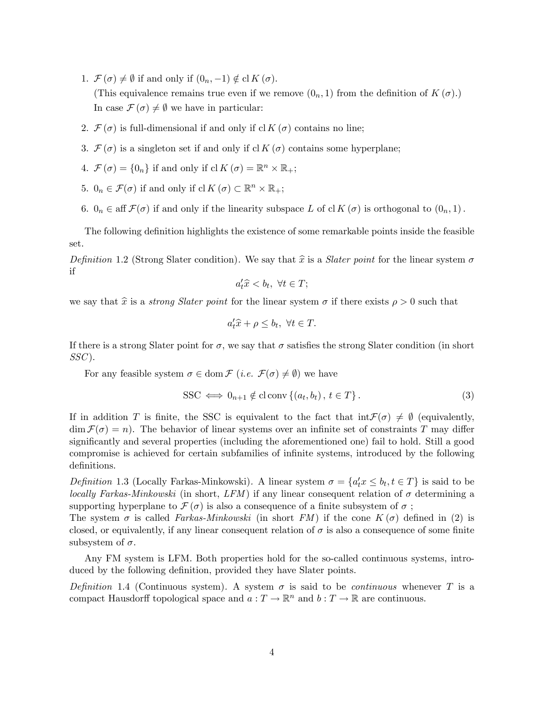- 1.  $\mathcal{F}(\sigma) \neq \emptyset$  if and only if  $(0_n, -1) \notin \text{cl } K(\sigma)$ . (This equivalence remains true even if we remove  $(0_n, 1)$  from the definition of  $K(\sigma)$ .) In case  $\mathcal{F}(\sigma) \neq \emptyset$  we have in particular:
- 2.  $\mathcal{F}(\sigma)$  is full-dimensional if and only if cl  $K(\sigma)$  contains no line;
- 3.  $\mathcal{F}(\sigma)$  is a singleton set if and only if cl K  $(\sigma)$  contains some hyperplane;
- 4.  $\mathcal{F}(\sigma) = \{0_n\}$  if and only if  $\text{cl } K(\sigma) = \mathbb{R}^n \times \mathbb{R}_+$ ;
- 5.  $0_n \in \mathcal{F}(\sigma)$  if and only if  $\text{cl } K(\sigma) \subset \mathbb{R}^n \times \mathbb{R}_+$ ;
- 6.  $0_n \in \text{aff } \mathcal{F}(\sigma)$  if and only if the linearity subspace L of cl  $K(\sigma)$  is orthogonal to  $(0_n, 1)$ .

The following definition highlights the existence of some remarkable points inside the feasible set.

Definition 1.2 (Strong Slater condition). We say that  $\hat{x}$  is a *Slater point* for the linear system  $\sigma$ if

$$
a_t'\hat{x} < b_t, \ \forall t \in T;
$$

we say that  $\hat{x}$  is a *strong Slater point* for the linear system  $\sigma$  if there exists  $\rho > 0$  such that

$$
a_t'\hat{x} + \rho \le b_t, \ \forall t \in T.
$$

If there is a strong Slater point for  $\sigma$ , we say that  $\sigma$  satisfies the strong Slater condition (in short  $SSC$ ).

For any feasible system  $\sigma \in \text{dom } \mathcal{F}$  (*i.e.*  $\mathcal{F}(\sigma) \neq \emptyset$ ) we have

$$
SSC \iff 0_{n+1} \notin \text{cl} \operatorname{conv}\left\{(a_t, b_t), t \in T\right\}.
$$
 (3)

If in addition T is finite, the SSC is equivalent to the fact that  $\inf \mathcal{F}(\sigma) \neq \emptyset$  (equivalently,  $\dim \mathcal{F}(\sigma) = n$ . The behavior of linear systems over an infinite set of constraints T may differ significantly and several properties (including the aforementioned one) fail to hold. Still a good compromise is achieved for certain subfamilies of infinite systems, introduced by the following definitions.

Definition 1.3 (Locally Farkas-Minkowski). A linear system  $\sigma = \{a'_t x \leq b_t, t \in T\}$  is said to be locally Farkas-Minkowski (in short, LFM) if any linear consequent relation of  $\sigma$  determining a supporting hyperplane to  $\mathcal{F}(\sigma)$  is also a consequence of a finite subsystem of  $\sigma$ ;

The system  $\sigma$  is called *Farkas-Minkowski* (in short FM) if the cone  $K(\sigma)$  defined in (2) is closed, or equivalently, if any linear consequent relation of  $\sigma$  is also a consequence of some finite subsystem of  $\sigma$ .

Any FM system is LFM. Both properties hold for the so-called continuous systems, introduced by the following definition, provided they have Slater points.

Definition 1.4 (Continuous system). A system  $\sigma$  is said to be *continuous* whenever T is a compact Hausdorff topological space and  $a: T \to \mathbb{R}^n$  and  $b: T \to \mathbb{R}$  are continuous.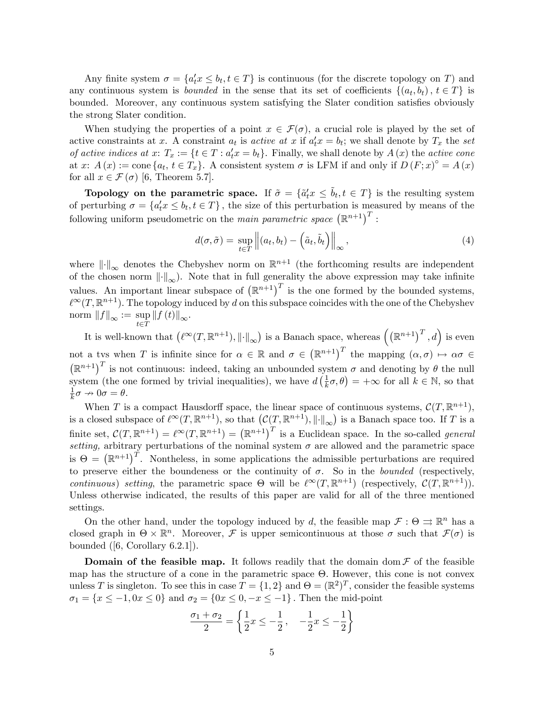Any finite system  $\sigma = \{a'_t x \leq b_t, t \in T\}$  is continuous (for the discrete topology on T) and any continuous system is *bounded* in the sense that its set of coefficients  $\{(a_t, b_t), t \in T\}$  is bounded. Moreover, any continuous system satisfying the Slater condition satisfies obviously the strong Slater condition.

When studying the properties of a point  $x \in \mathcal{F}(\sigma)$ , a crucial role is played by the set of active constraints at x. A constraint  $a_t$  is active at x if  $a'_t x = b_t$ ; we shall denote by  $T_x$  the set of active indices at  $x: T_x := \{t \in T : a_t^t x = b_t\}$ . Finally, we shall denote by  $A(x)$  the active cone at x:  $A(x) := \text{cone} \{a_t, t \in T_x\}$ . A consistent system  $\sigma$  is LFM if and only if  $D(F; x)^\circ = A(x)$ for all  $x \in \mathcal{F}(\sigma)$  [6, Theorem 5.7].

Topology on the parametric space. If  $\tilde{\sigma} = {\tilde{a}_t x \le \tilde{b}_t, t \in T}$  is the resulting system of perturbing  $\sigma = \{a'_t x \leq b_t, t \in T\}$ , the size of this perturbation is measured by means of the following uniform pseudometric on the main parametric space  $(\mathbb{R}^{n+1})^T$ :

$$
d(\sigma, \tilde{\sigma}) = \sup_{t \in T} \left\| (a_t, b_t) - \left( \tilde{a}_t, \tilde{b}_t \right) \right\|_{\infty}, \tag{4}
$$

where  $\|\cdot\|_{\infty}$  denotes the Chebyshev norm on  $\mathbb{R}^{n+1}$  (the forthcoming results are independent of the chosen norm  $\|\cdot\|_{\infty}$ ). Note that in full generality the above expression may take infinite values. An important linear subspace of  $(\mathbb{R}^{n+1})^T$  is the one formed by the bounded systems,  $\ell^{\infty}(T,\mathbb{R}^{n+1})$ . The topology induced by d on this subspace coincides with the one of the Chebyshev norm  $||f||_{\infty} := \sup_{t \in T} ||f(t)||_{\infty}$ .

It is well-known that  $(\ell^{\infty}(T,\mathbb{R}^{n+1}),\|\cdot\|_{\infty})$  is a Banach space, whereas  $((\mathbb{R}^{n+1})^T,d)$  is even not a tys when T is infinite since for  $\alpha \in \mathbb{R}$  and  $\sigma \in (\mathbb{R}^{n+1})^T$  the mapping  $(\alpha, \sigma) \mapsto \alpha \sigma \in$  $(\mathbb{R}^{n+1})^T$  is not continuous: indeed, taking an unbounded system  $\sigma$  and denoting by  $\theta$  the null system (the one formed by trivial inequalities), we have  $d\left(\frac{1}{k}\right)$  $(\frac{1}{k}\sigma,\theta) = +\infty$  for all  $k \in \mathbb{N}$ , so that 1  $\frac{1}{k}\sigma \to 0\sigma = \theta.$ 

When T is a compact Hausdorff space, the linear space of continuous systems,  $\mathcal{C}(T,\mathbb{R}^{n+1}),$ is a closed subspace of  $\ell^{\infty}(T, \mathbb{R}^{n+1})$ , so that  $(\mathcal{C}(T, \mathbb{R}^{n+1}), ||\cdot||_{\infty})$  is a Banach space too. If T is a finite set,  $\mathcal{C}(T,\mathbb{R}^{n+1}) = \ell^{\infty}(T,\mathbb{R}^{n+1}) = (\mathbb{R}^{n+1})^T$  is a Euclidean space. In the so-called *general* setting, arbitrary perturbations of the nominal system  $\sigma$  are allowed and the parametric space is  $\Theta = (\mathbb{R}^{n+1})^T$ . Nontheless, in some applications the admissible perturbations are required to preserve either the boundeness or the continuity of  $\sigma$ . So in the *bounded* (respectively, continuous) setting, the parametric space  $\Theta$  will be  $\ell^{\infty}(T,\mathbb{R}^{n+1})$  (respectively,  $\mathcal{C}(T,\mathbb{R}^{n+1})$ ). Unless otherwise indicated, the results of this paper are valid for all of the three mentioned settings.

On the other hand, under the topology induced by d, the feasible map  $\mathcal{F}: \Theta \rightrightarrows \mathbb{R}^n$  has a closed graph in  $\Theta \times \mathbb{R}^n$ . Moreover, F is upper semicontinuous at those  $\sigma$  such that  $\mathcal{F}(\sigma)$  is bounded ([6, Corollary 6.2.1]).

**Domain of the feasible map.** It follows readily that the domain dom  $\mathcal F$  of the feasible map has the structure of a cone in the parametric space  $\Theta$ . However, this cone is not convex unless T is singleton. To see this in case  $T = \{1, 2\}$  and  $\Theta = (\mathbb{R}^2)^T$ , consider the feasible systems  $\sigma_1 = \{x \le -1, 0x \le 0\}$  and  $\sigma_2 = \{0x \le 0, -x \le -1\}$ . Then the mid-point

$$
\frac{\sigma_1 + \sigma_2}{2} = \left\{ \frac{1}{2} x \le -\frac{1}{2}, \quad -\frac{1}{2} x \le -\frac{1}{2} \right\}
$$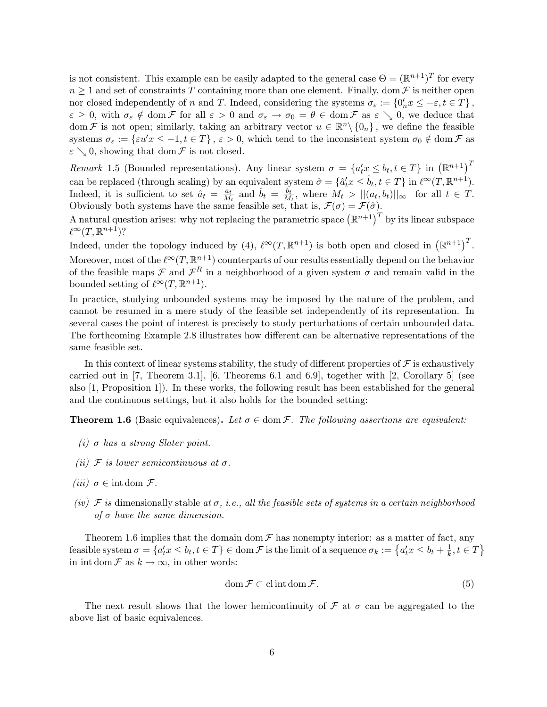is not consistent. This example can be easily adapted to the general case  $\Theta = (\mathbb{R}^{n+1})^T$  for every  $n \geq 1$  and set of constraints T containing more than one element. Finally, dom F is neither open nor closed independently of n and T. Indeed, considering the systems  $\sigma_{\varepsilon} := \{0'_n x \leq -\varepsilon, t \in T\}$ ,  $\varepsilon \geq 0$ , with  $\sigma_{\varepsilon} \notin \text{dom } \mathcal{F}$  for all  $\varepsilon > 0$  and  $\sigma_{\varepsilon} \to \sigma_0 = \theta \in \text{dom } \mathcal{F}$  as  $\varepsilon \searrow 0$ , we deduce that dom F is not open; similarly, taking an arbitrary vector  $u \in \mathbb{R}^n \setminus \{0_n\}$ , we define the feasible systems  $\sigma_{\varepsilon} := {\varepsilon} u'x \le -1, t \in T$ ,  $\varepsilon > 0$ , which tend to the inconsistent system  $\sigma_0 \notin \text{dom } \mathcal{F}$  as  $\varepsilon \searrow 0$ , showing that dom  $\mathcal F$  is not closed.

Remark 1.5 (Bounded representations). Any linear system  $\sigma = \{a'_t x \leq b_t, t \in T\}$  in  $(\mathbb{R}^{n+1})^T$ can be replaced (through scaling) by an equivalent system  $\hat{\sigma} = \{\hat{a}^t_t x \leq \hat{b}_t, t \in T\}$  in  $\ell^{\infty}(T, \mathbb{R}^{n+1})$ . Indeed, it is sufficient to set  $\hat{a}_t = \frac{a_t}{M}$  $\frac{a_t}{M_t}$  and  $\hat{b}_t = \frac{b_t}{M}$  $\frac{b_t}{M_t}$ , where  $M_t > ||(a_t, b_t)||_{\infty}$  for all  $t \in T$ . Obviously both systems have the same feasible set, that is,  $\mathcal{F}(\sigma) = \mathcal{F}(\hat{\sigma})$ .

A natural question arises: why not replacing the parametric space  $(\mathbb{R}^{n+1})^T$  by its linear subspace  $\ell^{\infty}(T,\mathbb{R}^{n+1})$ ?

Indeed, under the topology induced by (4),  $\ell^{\infty}(T,\mathbb{R}^{n+1})$  is both open and closed in  $(\mathbb{R}^{n+1})^T$ . Moreover, most of the  $\ell^{\infty}(T,\mathbb{R}^{n+1})$  counterparts of our results essentially depend on the behavior of the feasible maps  $\mathcal F$  and  $\mathcal F^R$  in a neighborhood of a given system  $\sigma$  and remain valid in the bounded setting of  $\ell^{\infty}(T,\mathbb{R}^{n+1})$ .

In practice, studying unbounded systems may be imposed by the nature of the problem, and cannot be resumed in a mere study of the feasible set independently of its representation. In several cases the point of interest is precisely to study perturbations of certain unbounded data. The forthcoming Example 2.8 illustrates how different can be alternative representations of the same feasible set.

In this context of linear systems stability, the study of different properties of  $\mathcal F$  is exhaustively carried out in [7, Theorem 3.1], [6, Theorems 6.1 and 6.9], together with [2, Corollary 5] (see also [1, Proposition 1]). In these works, the following result has been established for the general and the continuous settings, but it also holds for the bounded setting:

**Theorem 1.6** (Basic equivalences). Let  $\sigma \in \text{dom } \mathcal{F}$ . The following assertions are equivalent:

- (i)  $\sigma$  has a strong Slater point.
- (ii)  $\mathcal F$  is lower semicontinuous at  $\sigma$ .
- (*iii*)  $\sigma \in \text{int dom } \mathcal{F}$ .
- (iv)  $\mathcal F$  is dimensionally stable at  $\sigma$ , i.e., all the feasible sets of systems in a certain neighborhood of  $\sigma$  have the same dimension.

Theorem 1.6 implies that the domain dom  $\mathcal F$  has nonempty interior: as a matter of fact, any feasible system  $\sigma = \{a'_t x \leq b_t, t \in T\} \in \text{dom } \mathcal{F}$  is the limit of a sequence  $\sigma_k := \{a'_t x \leq b_t + \frac{1}{k}\}$  $\frac{1}{k}, t \in T$ in int dom  $\mathcal F$  as  $k \to \infty$ , in other words:

$$
\operatorname{dom} \mathcal{F} \subset \operatorname{cl} \operatorname{int} \operatorname{dom} \mathcal{F}.\tag{5}
$$

The next result shows that the lower hemicontinuity of  $\mathcal F$  at  $\sigma$  can be aggregated to the above list of basic equivalences.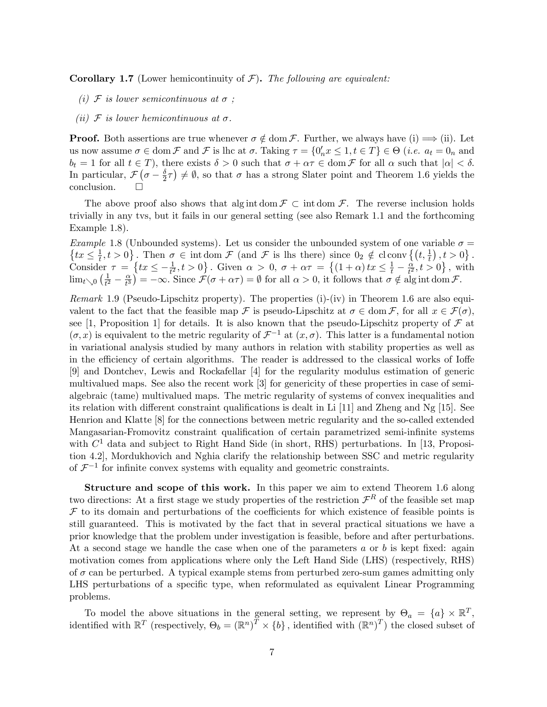**Corollary 1.7** (Lower hemicontinuity of  $\mathcal{F}$ ). The following are equivalent:

- (i)  $\mathcal F$  is lower semicontinuous at  $\sigma$ ;
- (ii)  $\mathcal F$  is lower hemicontinuous at  $\sigma$ .

**Proof.** Both assertions are true whenever  $\sigma \notin \text{dom }\mathcal{F}$ . Further, we always have (i)  $\Longrightarrow$  (ii). Let us now assume  $\sigma \in \text{dom}\,\mathcal{F}$  and  $\mathcal{F}$  is lhc at  $\sigma$ . Taking  $\tau = \{0'_n x \leq 1, t \in T\} \in \Theta$  (*i.e.*  $a_t = 0_n$  and  $b_t = 1$  for all  $t \in T$ ), there exists  $\delta > 0$  such that  $\sigma + \alpha \tau \in \text{dom } \mathcal{F}$  for all  $\alpha$  such that  $|\alpha| < \delta$ . In particular,  $\mathcal{F}(\sigma - \frac{\delta}{2})$  $(\frac{\delta}{2}\tau) \neq \emptyset$ , so that  $\sigma$  has a strong Slater point and Theorem 1.6 yields the conclusion.

The above proof also shows that alg int dom  $\mathcal{F} \subset \text{int dom } \mathcal{F}$ . The reverse inclusion holds trivially in any tvs, but it fails in our general setting (see also Remark 1.1 and the forthcoming Example 1.8).

*Example* 1.8 (Unbounded systems). Let us consider the unbounded system of one variable  $\sigma = \{tx \leq \frac{1}{t}, t > 0\}$ . Then  $\sigma \in \text{int dom }\mathcal{F}$  (and  $\mathcal{F}$  is lhs there) since  $0_2 \notin \text{cl conv }\{(t, \frac{1}{t}), t > 0\}$ .  $\left\{ \frac{1}{t}, t > 0 \right\}$ . Then  $\sigma \in \text{int dom }\mathcal{F}$  (and  $\mathcal{F}$  is lhs there) since  $0_2 \notin \text{cl conv }\{(t, \frac{1}{t}), t > 0\}$ . Consider  $\tau = \left\{tx \leq -\frac{1}{t^2}, t > 0\right\}$ . Given  $\alpha > 0$ ,  $\sigma + \alpha \tau = \left\{ (1 + \alpha) \, tx \leq \frac{1}{t} - \frac{\alpha}{t^2} \right\}$  $\frac{\dot{\alpha}}{t^2}$ ,  $t > 0$ , with  $\lim_{t\searrow0}(\frac{1}{t^2})$  $rac{1}{t^2} - \frac{\alpha}{t^3}$  $\left(\frac{\alpha}{t^3}\right) = -\infty$ . Since  $\mathcal{F}(\sigma + \alpha \tau) = \emptyset$  for all  $\alpha > 0$ , it follows that  $\sigma \notin \text{alg int dom }\mathcal{F}$ .

Remark 1.9 (Pseudo-Lipschitz property). The properties (i)-(iv) in Theorem 1.6 are also equivalent to the fact that the feasible map  $\mathcal F$  is pseudo-Lipschitz at  $\sigma \in \text{dom}\,\mathcal F$ , for all  $x \in \mathcal F(\sigma)$ , see [1, Proposition 1] for details. It is also known that the pseudo-Lipschitz property of  $\mathcal F$  at  $(\sigma, x)$  is equivalent to the metric regularity of  $\mathcal{F}^{-1}$  at  $(x, \sigma)$ . This latter is a fundamental notion in variational analysis studied by many authors in relation with stability properties as well as in the efficiency of certain algorithms. The reader is addressed to the classical works of Ioffe [9] and Dontchev, Lewis and Rockafellar [4] for the regularity modulus estimation of generic multivalued maps. See also the recent work [3] for genericity of these properties in case of semialgebraic (tame) multivalued maps. The metric regularity of systems of convex inequalities and its relation with different constraint qualifications is dealt in Li  $[11]$  and Zheng and Ng  $[15]$ . See Henrion and Klatte [8] for the connections between metric regularity and the so-called extended Mangasarian-Fromovitz constraint qualification of certain parametrized semi-infinite systems with  $C<sup>1</sup>$  data and subject to Right Hand Side (in short, RHS) perturbations. In [13, Proposition 4.2], Mordukhovich and Nghia clarify the relationship between SSC and metric regularity of  $\mathcal{F}^{-1}$  for infinite convex systems with equality and geometric constraints.

Structure and scope of this work. In this paper we aim to extend Theorem 1.6 along two directions: At a first stage we study properties of the restriction  $\mathcal{F}^R$  of the feasible set map  $\mathcal F$  to its domain and perturbations of the coefficients for which existence of feasible points is still guaranteed. This is motivated by the fact that in several practical situations we have a prior knowledge that the problem under investigation is feasible, before and after perturbations. At a second stage we handle the case when one of the parameters  $a$  or  $b$  is kept fixed: again motivation comes from applications where only the Left Hand Side (LHS) (respectively, RHS) of  $\sigma$  can be perturbed. A typical example stems from perturbed zero-sum games admitting only LHS perturbations of a specific type, when reformulated as equivalent Linear Programming problems.

To model the above situations in the general setting, we represent by  $\Theta_a = \{a\} \times \mathbb{R}^T$ , identified with  $\mathbb{R}^T$  (respectively,  $\Theta_b = (\mathbb{R}^n)^T \times \{b\}$ , identified with  $(\mathbb{R}^n)^T$ ) the closed subset of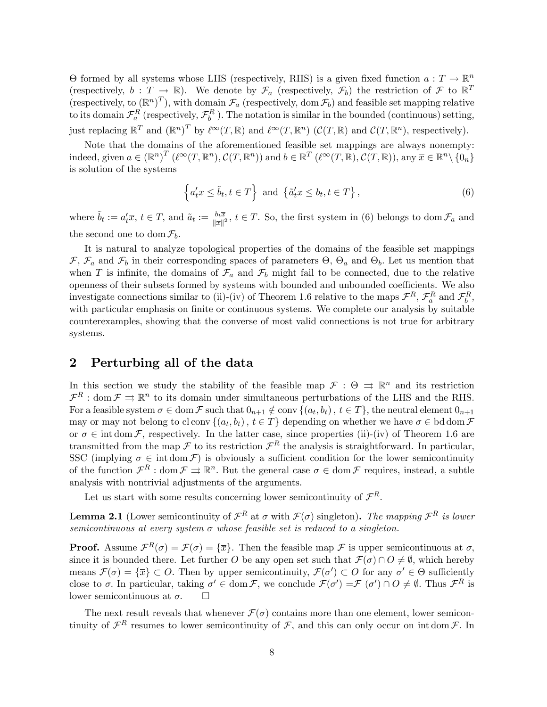$\Theta$  formed by all systems whose LHS (respectively, RHS) is a given fixed function  $a: T \to \mathbb{R}^n$ (respectively,  $b : T \rightarrow \mathbb{R}$ ). We denote by  $\mathcal{F}_a$  (respectively,  $\mathcal{F}_b$ ) the restriction of  $\mathcal{F}$  to  $\mathbb{R}^T$ (respectively, to  $(\mathbb{R}^n)^T$ ), with domain  $\mathcal{F}_a$  (respectively, dom  $\mathcal{F}_b$ ) and feasible set mapping relative to its domain  $\mathcal{F}_a^R$  (respectively,  $\mathcal{F}_b^R$ ). The notation is similar in the bounded (continuous) setting, just replacing  $\mathbb{R}^T$  and  $(\mathbb{R}^n)^T$  by  $\ell^{\infty}(T,\mathbb{R})$  and  $\ell^{\infty}(T,\mathbb{R}^n)$  ( $\mathcal{C}(T,\mathbb{R})$  and  $\mathcal{C}(T,\mathbb{R}^n)$ , respectively).

Note that the domains of the aforementioned feasible set mappings are always nonempty: indeed, given  $a \in (\mathbb{R}^n)^T$   $(\ell^{\infty}(T, \mathbb{R}^n), \mathcal{C}(T, \mathbb{R}^n))$  and  $b \in \mathbb{R}^T$   $(\ell^{\infty}(T, \mathbb{R}), \mathcal{C}(T, \mathbb{R}))$ , any  $\overline{x} \in \mathbb{R}^n \setminus \{0_n\}$ is solution of the systems

$$
\left\{a_t'x \le \tilde{b}_t, t \in T\right\} \text{ and } \left\{\tilde{a}_t'x \le b_t, t \in T\right\},\tag{6}
$$

where  $\tilde{b}_t := a'_t \overline{x}, t \in T$ , and  $\tilde{a}_t := \frac{b_t \overline{x}}{\|\overline{x}\|^2}, t \in T$ . So, the first system in (6) belongs to dom  $\mathcal{F}_a$  and the second one to dom  $\mathcal{F}_b$ .

It is natural to analyze topological properties of the domains of the feasible set mappings  $\mathcal{F}, \mathcal{F}_a$  and  $\mathcal{F}_b$  in their corresponding spaces of parameters  $\Theta$ ,  $\Theta_a$  and  $\Theta_b$ . Let us mention that when T is infinite, the domains of  $\mathcal{F}_a$  and  $\mathcal{F}_b$  might fail to be connected, due to the relative openness of their subsets formed by systems with bounded and unbounded coefficients. We also investigate connections similar to (ii)-(iv) of Theorem 1.6 relative to the maps  $\mathcal{F}^R$ ,  $\mathcal{F}_a^R$  and  $\mathcal{F}_b^R$ , with particular emphasis on finite or continuous systems. We complete our analysis by suitable counterexamples, showing that the converse of most valid connections is not true for arbitrary systems.

# 2 Perturbing all of the data

In this section we study the stability of the feasible map  $\mathcal{F}$ :  $\Theta \Rightarrow \mathbb{R}^n$  and its restriction  $\mathcal{F}^R$ : dom  $\mathcal{F} \rightrightarrows \mathbb{R}^n$  to its domain under simultaneous perturbations of the LHS and the RHS. For a feasible system  $\sigma \in \text{dom } \mathcal{F}$  such that  $0_{n+1} \notin \text{conv } \{(a_t, b_t), t \in T\}$ , the neutral element  $0_{n+1}$ may or may not belong to cl conv  $\{(a_t, b_t), t \in T\}$  depending on whether we have  $\sigma \in \text{bd dom}\,\mathcal{F}$ or  $\sigma \in \text{int dom}\,\mathcal{F}$ , respectively. In the latter case, since properties (ii)-(iv) of Theorem 1.6 are transmitted from the map  $\mathcal F$  to its restriction  $\mathcal F^R$  the analysis is straightforward. In particular, SSC (implying  $\sigma \in \text{int dom } \mathcal{F}$ ) is obviously a sufficient condition for the lower semicontinuity of the function  $\mathcal{F}^R$ : dom  $\mathcal{F} \rightrightarrows \mathbb{R}^n$ . But the general case  $\sigma \in \text{dom } \mathcal{F}$  requires, instead, a subtle analysis with nontrivial adjustments of the arguments.

Let us start with some results concerning lower semicontinuity of  $\mathcal{F}^R$ .

**Lemma 2.1** (Lower semicontinuity of  $\mathcal{F}^R$  at  $\sigma$  with  $\mathcal{F}(\sigma)$  singleton). The mapping  $\mathcal{F}^R$  is lower semicontinuous at every system  $\sigma$  whose feasible set is reduced to a singleton.

**Proof.** Assume  $\mathcal{F}^R(\sigma) = \mathcal{F}(\sigma) = {\overline{x}}$ . Then the feasible map  $\mathcal F$  is upper semicontinuous at  $\sigma$ , since it is bounded there. Let further O be any open set such that  $\mathcal{F}(\sigma) \cap O \neq \emptyset$ , which hereby means  $\mathcal{F}(\sigma) = {\overline{x}} \subset O$ . Then by upper semicontinuity,  $\mathcal{F}(\sigma') \subset O$  for any  $\sigma' \in \Theta$  sufficiently close to  $\sigma$ . In particular, taking  $\sigma' \in \text{dom } \mathcal{F}$ , we conclude  $\mathcal{F}(\sigma') = \mathcal{F}(\sigma') \cap O \neq \emptyset$ . Thus  $\mathcal{F}^R$  is lower semicontinuous at  $\sigma$ .  $\Box$ 

The next result reveals that whenever  $\mathcal{F}(\sigma)$  contains more than one element, lower semicontinuity of  $\mathcal{F}^R$  resumes to lower semicontinuity of  $\mathcal{F}$ , and this can only occur on int dom  $\mathcal{F}$ . In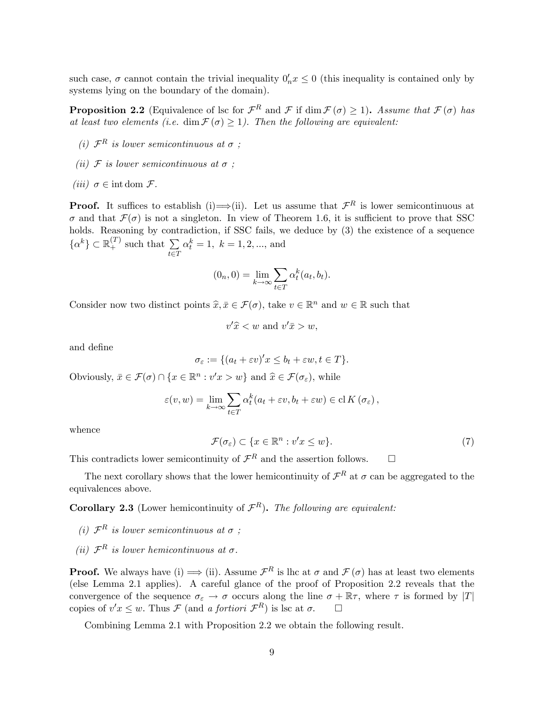such case,  $\sigma$  cannot contain the trivial inequality  $0'_n x \leq 0$  (this inequality is contained only by systems lying on the boundary of the domain).

**Proposition 2.2** (Equivalence of lsc for  $\mathcal{F}^R$  and  $\mathcal{F}$  if dim  $\mathcal{F}(\sigma) \geq 1$ ). Assume that  $\mathcal{F}(\sigma)$  has at least two elements (i.e. dim  $\mathcal{F}(\sigma) \geq 1$ ). Then the following are equivalent:

- (i)  $\mathcal{F}^R$  is lower semicontinuous at  $\sigma$ ;
- (ii)  $\mathcal F$  is lower semicontinuous at  $\sigma$ ;
- (*iii*)  $\sigma \in \text{int dom } \mathcal{F}$ .

**Proof.** It suffices to establish (i)  $\Rightarrow$  (ii). Let us assume that  $\mathcal{F}^R$  is lower semicontinuous at  $\sigma$  and that  $\mathcal{F}(\sigma)$  is not a singleton. In view of Theorem 1.6, it is sufficient to prove that SSC holds. Reasoning by contradiction, if SSC fails, we deduce by  $(3)$  the existence of a sequence  $\{\alpha^k\} \subset \mathbb{R}_+^{(T)}$  such that  $\sum_{i \in \mathbb{Z}}$  $t \in T$  $\alpha_t^k = 1, \ k = 1, 2, ..., \text{ and}$ 

$$
(0_n, 0) = \lim_{k \to \infty} \sum_{t \in T} \alpha_t^k(a_t, b_t).
$$

Consider now two distinct points  $\widehat{x}, \overline{x} \in \mathcal{F}(\sigma)$ , take  $v \in \mathbb{R}^n$  and  $w \in \mathbb{R}$  such that

$$
v'\hat{x} < w \text{ and } v'\bar{x} > w,
$$

and deÖne

$$
\sigma_{\varepsilon} := \{ (a_t + \varepsilon v)' x \le b_t + \varepsilon w, t \in T \}.
$$

Obviously,  $\bar{x} \in \mathcal{F}(\sigma) \cap \{x \in \mathbb{R}^n : v'x > w\}$  and  $\hat{x} \in \mathcal{F}(\sigma_{\varepsilon})$ , while

$$
\varepsilon(v, w) = \lim_{k \to \infty} \sum_{t \in T} \alpha_t^k (a_t + \varepsilon v, b_t + \varepsilon w) \in \mathrm{cl} K(\sigma_{\varepsilon}),
$$

whence

$$
\mathcal{F}(\sigma_{\varepsilon}) \subset \{ x \in \mathbb{R}^n : v'x \le w \}. \tag{7}
$$

This contradicts lower semicontinuity of  $\mathcal{F}^R$  and the assertion follows.  $\Box$ 

The next corollary shows that the lower hemicontinuity of  $\mathcal{F}^R$  at  $\sigma$  can be aggregated to the equivalences above.

**Corollary 2.3** (Lower hemicontinuity of  $\mathcal{F}^R$ ). The following are equivalent:

- (i)  $\mathcal{F}^R$  is lower semicontinuous at  $\sigma$ ;
- (ii)  $\mathcal{F}^R$  is lower hemicontinuous at  $\sigma$ .

**Proof.** We always have (i)  $\Longrightarrow$  (ii). Assume  $\mathcal{F}^R$  is lhc at  $\sigma$  and  $\mathcal{F}(\sigma)$  has at least two elements (else Lemma 2.1 applies). A careful glance of the proof of Proposition 2.2 reveals that the convergence of the sequence  $\sigma_{\varepsilon} \to \sigma$  occurs along the line  $\sigma + \mathbb{R}\tau$ , where  $\tau$  is formed by  $|T|$ copies of  $v'x \leq w$ . Thus  $\mathcal F$  (and a fortiori  $\mathcal F^R$ ) is lsc at  $\sigma$ .  $\Box$ 

Combining Lemma 2.1 with Proposition 2.2 we obtain the following result.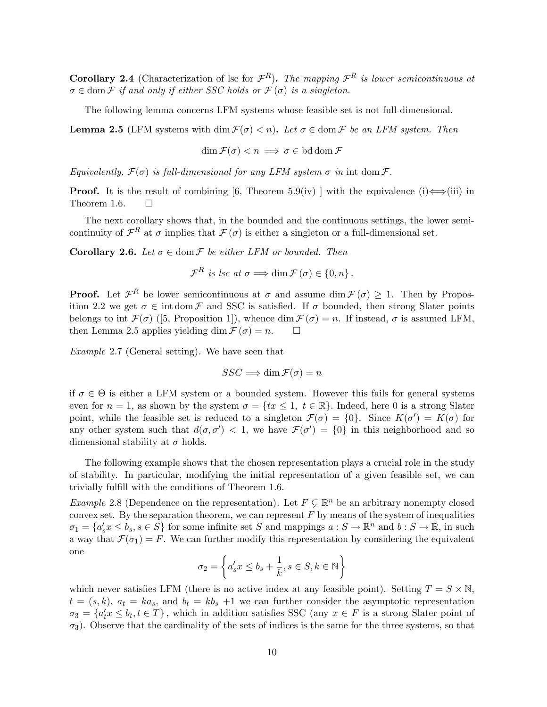**Corollary 2.4** (Characterization of lsc for  $\mathcal{F}^R$ ). The mapping  $\mathcal{F}^R$  is lower semicontinuous at  $\sigma \in \text{dom}\,\mathcal{F}$  if and only if either SSC holds or  $\mathcal{F}(\sigma)$  is a singleton.

The following lemma concerns LFM systems whose feasible set is not full-dimensional.

**Lemma 2.5** (LFM systems with dim  $\mathcal{F}(\sigma) < n$ ). Let  $\sigma \in \text{dom } \mathcal{F}$  be an LFM system. Then

$$
\dim \mathcal{F}(\sigma) < n \implies \sigma \in \text{bd} \operatorname{dom} \mathcal{F}
$$

Equivalently,  $\mathcal{F}(\sigma)$  is full-dimensional for any LFM system  $\sigma$  in int dom  $\mathcal{F}$ .

**Proof.** It is the result of combining [6, Theorem 5.9(iv) ] with the equivalence (i) $\Longleftrightarrow$ (iii) in Theorem 1.6. Theorem 1.6.

The next corollary shows that, in the bounded and the continuous settings, the lower semicontinuity of  $\mathcal{F}^R$  at  $\sigma$  implies that  $\mathcal{F}(\sigma)$  is either a singleton or a full-dimensional set.

**Corollary 2.6.** Let  $\sigma \in \text{dom } \mathcal{F}$  be either LFM or bounded. Then

 $\mathcal{F}^R$  is lsc at  $\sigma \Longrightarrow \dim \mathcal{F}(\sigma) \in \{0, n\}.$ 

**Proof.** Let  $\mathcal{F}^R$  be lower semicontinuous at  $\sigma$  and assume dim  $\mathcal{F}(\sigma) \geq 1$ . Then by Proposition 2.2 we get  $\sigma \in \text{int dom}\,\mathcal{F}$  and SSC is satisfied. If  $\sigma$  bounded, then strong Slater points belongs to int  $\mathcal{F}(\sigma)$  ([5, Proposition 1]), whence dim  $\mathcal{F}(\sigma) = n$ . If instead,  $\sigma$  is assumed LFM, then Lemma 2.5 applies vielding dim  $\mathcal{F}(\sigma) = n$ . then Lemma 2.5 applies yielding dim  $\mathcal{F}(\sigma) = n$ .

Example 2.7 (General setting). We have seen that

$$
SSC \Longrightarrow \dim \mathcal{F}(\sigma) = n
$$

if  $\sigma \in \Theta$  is either a LFM system or a bounded system. However this fails for general systems even for  $n = 1$ , as shown by the system  $\sigma = \{tx \leq 1, t \in \mathbb{R}\}\.$  Indeed, here 0 is a strong Slater point, while the feasible set is reduced to a singleton  $\mathcal{F}(\sigma) = \{0\}$ . Since  $K(\sigma') = K(\sigma)$  for any other system such that  $d(\sigma, \sigma') < 1$ , we have  $\mathcal{F}(\sigma') = \{0\}$  in this neighborhood and so dimensional stability at  $\sigma$  holds.

The following example shows that the chosen representation plays a crucial role in the study of stability. In particular, modifying the initial representation of a given feasible set, we can trivially fulfill with the conditions of Theorem 1.6.

*Example* 2.8 (Dependence on the representation). Let  $F \subsetneq \mathbb{R}^n$  be an arbitrary nonempty closed convex set. By the separation theorem, we can represent  $F$  by means of the system of inequalities  $\sigma_1 = \{a'_s x \le b_s, s \in S\}$  for some infinite set S and mappings  $a : S \to \mathbb{R}^n$  and  $b : S \to \mathbb{R}$ , in such a way that  $\mathcal{F}(\sigma_1) = F$ . We can further modify this representation by considering the equivalent one

$$
\sigma_2 = \left\{a'_s x \leq b_s + \frac{1}{k}, s \in S, k \in \mathbb{N}\right\}
$$

which never satisfies LFM (there is no active index at any feasible point). Setting  $T = S \times N$ ,  $t = (s, k), a_t = ka_s$ , and  $b_t = kb_s +1$  we can further consider the asymptotic representation  $\sigma_3 = \{a'_t x \le b_t, t \in T\}$ , which in addition satisfies SSC (any  $\overline{x} \in F$  is a strong Slater point of  $\sigma_3$ ). Observe that the cardinality of the sets of indices is the same for the three systems, so that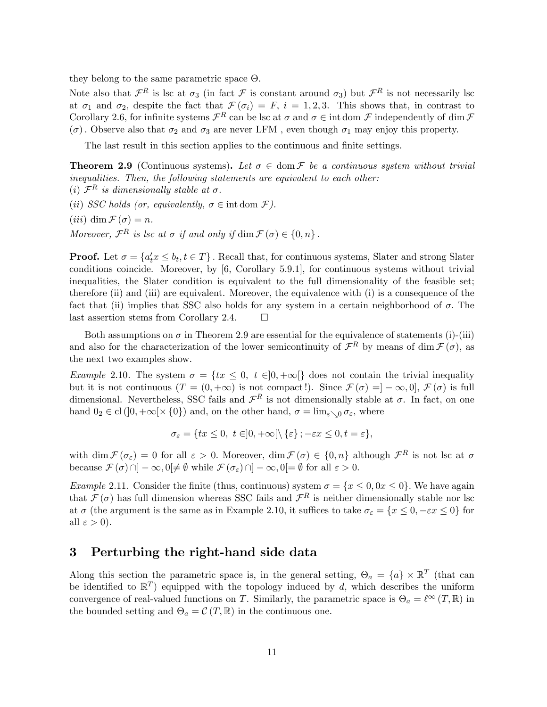they belong to the same parametric space  $\Theta$ .

Note also that  $\mathcal{F}^R$  is lsc at  $\sigma_3$  (in fact  $\mathcal{F}$  is constant around  $\sigma_3$ ) but  $\mathcal{F}^R$  is not necessarily lsc at  $\sigma_1$  and  $\sigma_2$ , despite the fact that  $\mathcal{F}(\sigma_i) = F$ ,  $i = 1, 2, 3$ . This shows that, in contrast to Corollary 2.6, for infinite systems  $\mathcal{F}^R$  can be lsc at  $\sigma$  and  $\sigma \in \text{int dom }\mathcal{F}$  independently of dim  $\mathcal{F}$  $(\sigma)$ . Observe also that  $\sigma_2$  and  $\sigma_3$  are never LFM, even though  $\sigma_1$  may enjoy this property.

The last result in this section applies to the continuous and finite settings.

**Theorem 2.9** (Continuous systems). Let  $\sigma \in \text{dom } \mathcal{F}$  be a continuous system without trivial inequalities. Then, the following statements are equivalent to each other:

(i)  $\mathcal{F}^R$  is dimensionally stable at  $\sigma$ .

(ii) SSC holds (or, equivalently,  $\sigma \in \text{int dom } \mathcal{F}$ ).

(*iii*) dim  $\mathcal{F}(\sigma) = n$ .

Moreover,  $\mathcal{F}^R$  is lsc at  $\sigma$  if and only if  $\dim \mathcal{F}(\sigma) \in \{0, n\}$ .

**Proof.** Let  $\sigma = \{a'_t x \le b_t, t \in T\}$ . Recall that, for continuous systems, Slater and strong Slater conditions coincide. Moreover, by [6, Corollary 5.9.1], for continuous systems without trivial inequalities, the Slater condition is equivalent to the full dimensionality of the feasible set; therefore (ii) and (iii) are equivalent. Moreover, the equivalence with (i) is a consequence of the fact that (ii) implies that SSC also holds for any system in a certain neighborhood of  $\sigma$ . The last assertion stems from Corollary 2.4.  $\Box$ 

Both assumptions on  $\sigma$  in Theorem 2.9 are essential for the equivalence of statements (i)-(iii) and also for the characterization of the lower semicontinuity of  $\mathcal{F}^R$  by means of dim  $\mathcal{F}(\sigma)$ , as the next two examples show.

Example 2.10. The system  $\sigma = \{tx \leq 0, t \in ]0, +\infty[\}$  does not contain the trivial inequality but it is not continuous  $(T = (0, +\infty))$  is not compact!). Since  $\mathcal{F}(\sigma) = [-\infty, 0], \mathcal{F}(\sigma)$  is full dimensional. Nevertheless, SSC fails and  $\mathcal{F}^R$  is not dimensionally stable at  $\sigma$ . In fact, on one hand  $0_2 \in \text{cl}([0, +\infty[\times \{0\})]$  and, on the other hand,  $\sigma = \lim_{\varepsilon \setminus 0} \sigma_{\varepsilon}$ , where

$$
\sigma_{\varepsilon} = \{ tx \le 0, \ t \in ]0, +\infty[ \setminus {\varepsilon} \}; -\varepsilon x \le 0, t = \varepsilon \},
$$

with  $\dim \mathcal{F}(\sigma_{\varepsilon}) = 0$  for all  $\varepsilon > 0$ . Moreover,  $\dim \mathcal{F}(\sigma) \in \{0, n\}$  although  $\mathcal{F}^R$  is not lsc at  $\sigma$ because  $\mathcal{F}(\sigma) \cap ]-\infty, 0 \neq \emptyset$  while  $\mathcal{F}(\sigma_{\varepsilon}) \cap ]-\infty, 0 \neq \emptyset$  for all  $\varepsilon > 0$ .

*Example* 2.11. Consider the finite (thus, continuous) system  $\sigma = \{x \le 0, 0x \le 0\}$ . We have again that  $\mathcal{F}(\sigma)$  has full dimension whereas SSC fails and  $\mathcal{F}^R$  is neither dimensionally stable nor lsc at  $\sigma$  (the argument is the same as in Example 2.10, it suffices to take  $\sigma_{\varepsilon} = \{x \le 0, -\varepsilon x \le 0\}$  for all  $\varepsilon > 0$ ).

## 3 Perturbing the right-hand side data

Along this section the parametric space is, in the general setting,  $\Theta_a = \{a\} \times \mathbb{R}^T$  (that can be identified to  $\mathbb{R}^T$  equipped with the topology induced by d, which describes the uniform convergence of real-valued functions on T. Similarly, the parametric space is  $\Theta_a = \ell^{\infty} (T, \mathbb{R})$  in the bounded setting and  $\Theta_a = \mathcal{C}(T, \mathbb{R})$  in the continuous one.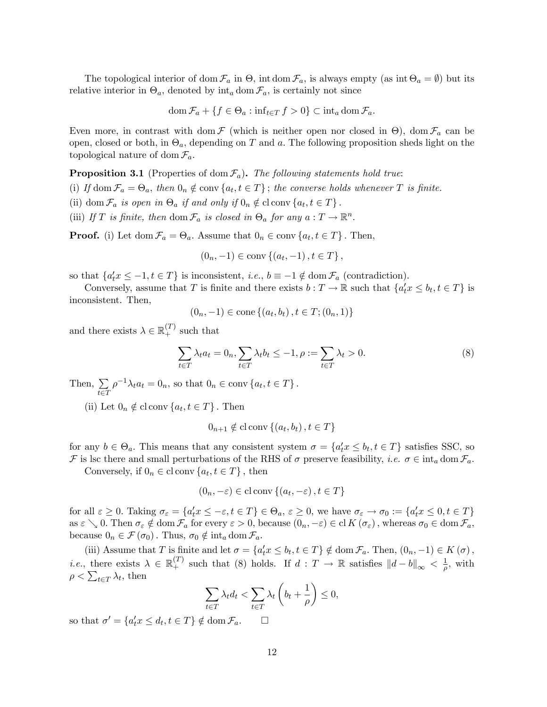The topological interior of dom  $\mathcal{F}_a$  in  $\Theta$ , int dom  $\mathcal{F}_a$ , is always empty (as int  $\Theta_a = \emptyset$ ) but its relative interior in  $\Theta_a$ , denoted by  $\text{int}_a \text{dom } \mathcal{F}_a$ , is certainly not since

$$
\operatorname{dom} \mathcal{F}_a + \{ f \in \Theta_a : \inf_{t \in T} f > 0 \} \subset \operatorname{int}_a \operatorname{dom} \mathcal{F}_a.
$$

Even more, in contrast with dom  $\mathcal F$  (which is neither open nor closed in  $\Theta$ ), dom  $\mathcal F_a$  can be open, closed or both, in  $\Theta_a$ , depending on T and a. The following proposition sheds light on the topological nature of dom  $\mathcal{F}_a$ .

**Proposition 3.1** (Properties of dom  $\mathcal{F}_a$ ). The following statements hold true:

(i) If dom  $\mathcal{F}_a = \Theta_a$ , then  $0_n \notin \text{conv}\{a_t, t \in T\}$ ; the converse holds whenever T is finite.

- (ii) dom  $\mathcal{F}_a$  is open in  $\Theta_a$  if and only if  $0_n \notin \text{cl}$  conv $\{a_t, t \in T\}$ .
- (iii) If T is finite, then dom  $\mathcal{F}_a$  is closed in  $\Theta_a$  for any  $a: T \to \mathbb{R}^n$ .

**Proof.** (i) Let  $\text{dom } \mathcal{F}_a = \Theta_a$ . Assume that  $0_n \in \text{conv } \{a_t, t \in T\}$ . Then,

$$
(0_n, -1) \in \text{conv}\{(a_t, -1), t \in T\},\
$$

so that  $\{a_t^{\prime}x \leq -1, t \in T\}$  is inconsistent, *i.e.*,  $b \equiv -1 \notin \text{dom } \mathcal{F}_a$  (contradiction).

Conversely, assume that T is finite and there exists  $b: T \to \mathbb{R}$  such that  $\{a_t^{\prime} x \leq b_t, t \in T\}$  is inconsistent. Then,

$$
(0_n, -1) \in \text{cone} \{ (a_t, b_t), t \in T; (0_n, 1) \}
$$

and there exists  $\lambda \in \mathbb{R}_+^{(T)}$  such that

$$
\sum_{t \in T} \lambda_t a_t = 0_n, \sum_{t \in T} \lambda_t b_t \le -1, \rho := \sum_{t \in T} \lambda_t > 0.
$$
\n
$$
(8)
$$

Then,  $\Sigma$  $t \in T$  $\rho^{-1} \lambda_t a_t = 0_n$ , so that  $0_n \in \text{conv}\{a_t, t \in T\}$ .

(ii) Let  $0_n \notin \text{cl} \text{ conv } \{a_t, t \in T\}$ . Then

 $0_{n+1} \notin \text{cl} \text{ conv } \{(a_t, b_t), t \in T\}$ 

for any  $b \in \Theta_a$ . This means that any consistent system  $\sigma = \{a'_t x \leq b_t, t \in T\}$  satisfies SSC, so F is lsc there and small perturbations of the RHS of  $\sigma$  preserve feasibility, *i.e.*  $\sigma \in \text{int}_a \text{dom } \mathcal{F}_a$ .

Conversely, if  $0_n \in \text{cl} \text{ conv } \{a_t, t \in T\}$ , then

$$
(0_n, -\varepsilon) \in \text{cl} \operatorname{conv}\left\{ (a_t, -\varepsilon), t \in T \right\}
$$

for all  $\varepsilon \geq 0$ . Taking  $\sigma_{\varepsilon} = \{a'_t x \leq -\varepsilon, t \in T\} \in \Theta_a$ ,  $\varepsilon \geq 0$ , we have  $\sigma_{\varepsilon} \to \sigma_0 := \{a'_t x \leq 0, t \in T\}$ as  $\varepsilon \searrow 0$ . Then  $\sigma_{\varepsilon} \notin \text{dom } \mathcal{F}_a$  for every  $\varepsilon > 0$ , because  $(0_n, -\varepsilon) \in \text{cl } K(\sigma_{\varepsilon})$ , whereas  $\sigma_0 \in \text{dom } \mathcal{F}_a$ , because  $0_n \in \mathcal{F}(\sigma_0)$ . Thus,  $\sigma_0 \notin \text{int}_a \text{dom } \mathcal{F}_a$ .

(iii) Assume that T is finite and let  $\sigma = \{a'_t x \leq b_t, t \in T\} \notin \text{dom}\,\mathcal{F}_a$ . Then,  $(0_n, -1) \in K(\sigma)$ , *i.e.*, there exists  $\lambda \in \mathbb{R}_+^{(T)}$  such that (8) holds. If  $d : T \to \mathbb{R}$  satisfies  $||d - b||_{\infty} < \frac{1}{\rho}$  $\frac{1}{\rho}$ , with  $\rho < \sum_{t \in T} \lambda_t$ , then

$$
\sum_{t \in T} \lambda_t d_t < \sum_{t \in T} \lambda_t \left( b_t + \frac{1}{\rho} \right) \le 0,
$$

so that  $\sigma' = \{a'_t x \leq d_t, t \in T\} \notin \text{dom}\,\mathcal{F}_a.$   $\Box$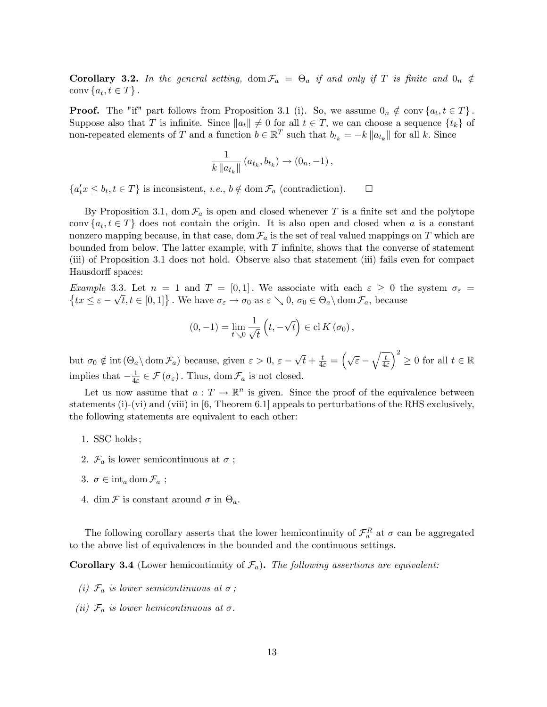**Corollary 3.2.** In the general setting,  $\text{dom } \mathcal{F}_a = \Theta_a$  if and only if T is finite and  $0_n \notin$ conv $\{a_t, t \in T\}$ .

**Proof.** The "if" part follows from Proposition 3.1 (i). So, we assume  $0_n \notin \text{conv}\{a_t, t \in T\}$ . Suppose also that T is infinite. Since  $||a_t|| \neq 0$  for all  $t \in T$ , we can choose a sequence  $\{t_k\}$  of non-repeated elements of T and a function  $b \in \mathbb{R}^T$  such that  $b_{t_k} = -k ||a_{t_k}||$  for all k. Since

$$
\frac{1}{k\|a_{t_k}\|} (a_{t_k}, b_{t_k}) \to (0_n, -1),
$$

 $\{a_t^{\prime} x \leq b_t, t \in T\}$  is inconsistent, *i.e.*,  $b \notin \text{dom } \mathcal{F}_a$  (contradiction).  $\Box$ 

By Proposition 3.1, dom  $\mathcal{F}_a$  is open and closed whenever T is a finite set and the polytope conv  $\{a_t, t \in T\}$  does not contain the origin. It is also open and closed when a is a constant nonzero mapping because, in that case, dom  $\mathcal{F}_a$  is the set of real valued mappings on T which are bounded from below. The latter example, with  $T$  infinite, shows that the converse of statement (iii) of Proposition 3.1 does not hold. Observe also that statement (iii) fails even for compact Hausdorff spaces:

Example 3.3. Let  $n = 1$  and  $T = [0, 1]$ . We associate with each  $\varepsilon \geq 0$  the system  $\sigma_{\varepsilon} =$  $tx \leq \varepsilon - \sqrt{t}, t \in [0, 1]$ . We have  $\sigma_{\varepsilon} \to \sigma_0$  as  $\varepsilon \searrow 0$ ,  $\sigma_0 \in \Theta_a \setminus \text{dom } \mathcal{F}_a$ , because

$$
(0,-1) = \lim_{t \searrow 0} \frac{1}{\sqrt{t}} \left( t, -\sqrt{t} \right) \in \mathrm{cl} K(\sigma_0),
$$

but  $\sigma_0 \notin \text{int}(\Theta_a \setminus \text{dom}\,\mathcal{F}_a)$  because, given  $\varepsilon > 0$ ,  $\varepsilon - \sqrt{t} + \frac{t}{4\varepsilon} = \left(\sqrt{\varepsilon} - \sqrt{\frac{t}{4\varepsilon}}\right)$  $4\varepsilon$  $\chi^2$  $\geq 0$  for all  $t \in \mathbb{R}$ implies that  $-\frac{1}{4\varepsilon}$  $\frac{1}{4\varepsilon} \in \mathcal{F}(\sigma_{\varepsilon})$ . Thus, dom  $\mathcal{F}_a$  is not closed.

Let us now assume that  $a: T \to \mathbb{R}^n$  is given. Since the proof of the equivalence between statements (i)-(vi) and (viii) in [6, Theorem 6.1] appeals to perturbations of the RHS exclusively, the following statements are equivalent to each other:

- 1. SSC holds ;
- 2.  $\mathcal{F}_a$  is lower semicontinuous at  $\sigma$ ;
- 3.  $\sigma \in \mathrm{int}_a \mathrm{dom}\, \mathcal{F}_a$ ;
- 4. dim  $\mathcal F$  is constant around  $\sigma$  in  $\Theta_a$ .

The following corollary asserts that the lower hemicontinuity of  $\mathcal{F}_a^R$  at  $\sigma$  can be aggregated to the above list of equivalences in the bounded and the continuous settings.

**Corollary 3.4** (Lower hemicontinuity of  $\mathcal{F}_a$ ). The following assertions are equivalent:

- (i)  $\mathcal{F}_a$  is lower semicontinuous at  $\sigma$ ;
- (ii)  $\mathcal{F}_a$  is lower hemicontinuous at  $\sigma$ .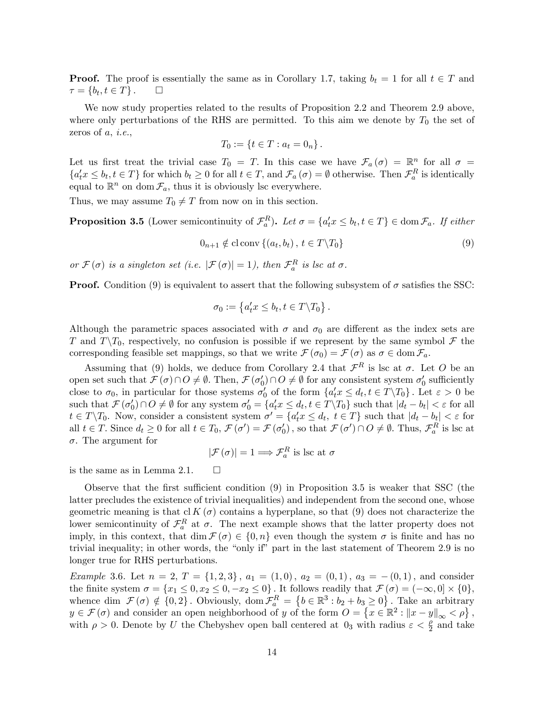**Proof.** The proof is essentially the same as in Corollary 1.7, taking  $b_t = 1$  for all  $t \in T$  and  $\tau = \{b_t, t \in T\}$ .  $\tau = \{b_t, t \in T\}$ .  $\Box$ 

We now study properties related to the results of Proposition 2.2 and Theorem 2.9 above, where only perturbations of the RHS are permitted. To this aim we denote by  $T_0$  the set of zeros of  $a, i.e.,$ 

$$
T_0 := \{ t \in T : a_t = 0_n \}.
$$

Let us first treat the trivial case  $T_0 = T$ . In this case we have  $\mathcal{F}_a(\sigma) = \mathbb{R}^n$  for all  $\sigma =$  $\{a'_t x \leq b_t, t \in T\}$  for which  $b_t \geq 0$  for all  $t \in T$ , and  $\mathcal{F}_a(\sigma) = \emptyset$  otherwise. Then  $\mathcal{F}_a^R$  is identically equal to  $\mathbb{R}^n$  on dom  $\mathcal{F}_a$ , thus it is obviously lsc everywhere.

Thus, we may assume  $T_0 \neq T$  from now on in this section.

**Proposition 3.5** (Lower semicontinuity of  $\mathcal{F}_a^R$ ). Let  $\sigma = \{a'_t x \leq b_t, t \in T\} \in \text{dom } \mathcal{F}_a$ . If either

$$
0_{n+1} \notin \text{cl} \operatorname{conv}\left\{(a_t, b_t), \ t \in T \backslash T_0\right\} \tag{9}
$$

:

or  $\mathcal{F}(\sigma)$  is a singleton set (i.e.  $|\mathcal{F}(\sigma)| = 1$ ), then  $\mathcal{F}_a^R$  is lsc at  $\sigma$ .

**Proof.** Condition (9) is equivalent to assert that the following subsystem of  $\sigma$  satisfies the SSC:

$$
\sigma_0 := \left\{ a_t' x \le b_t, t \in T \backslash T_0 \right\}
$$

Although the parametric spaces associated with  $\sigma$  and  $\sigma_0$  are different as the index sets are T and  $T\setminus T_0$ , respectively, no confusion is possible if we represent by the same symbol F the corresponding feasible set mappings, so that we write  $\mathcal{F}(\sigma_0) = \mathcal{F}(\sigma)$  as  $\sigma \in \text{dom } \mathcal{F}_a$ .

Assuming that (9) holds, we deduce from Corollary 2.4 that  $\mathcal{F}^R$  is lsc at  $\sigma$ . Let O be an open set such that  $\mathcal{F}(\sigma) \cap O \neq \emptyset$ . Then,  $\mathcal{F}(\sigma'_0) \cap O \neq \emptyset$  for any consistent system  $\sigma'_0$  sufficiently close to  $\sigma_0$ , in particular for those systems  $\sigma'_0$  of the form  $\{a'_t x \leq d_t, t \in T \setminus T_0\}$ . Let  $\varepsilon > 0$  be such that  $\mathcal{F}(\sigma'_0) \cap O \neq \emptyset$  for any system  $\sigma'_0 = \{a'_t x \leq d_t, t \in T \setminus T_0\}$  such that  $|d_t - b_t| < \varepsilon$  for all  $t \in T \backslash T_0$ . Now, consider a consistent system  $\sigma' = \{a_t^{\prime} x \leq d_t, t \in T\}$  such that  $|d_t - b_t| < \varepsilon$  for all  $t \in T$ . Since  $d_t \ge 0$  for all  $t \in T_0$ ,  $\mathcal{F}(\sigma') = \mathcal{F}(\sigma'_0)$ , so that  $\mathcal{F}(\sigma') \cap O \neq \emptyset$ . Thus,  $\mathcal{F}_a^R$  is lsc at  $\sigma$ . The argument for

$$
|\mathcal{F}(\sigma)| = 1 \Longrightarrow \mathcal{F}_a^R \text{ is lsc at } \sigma
$$

is the same as in Lemma 2.1.  $\square$ 

Observe that the first sufficient condition  $(9)$  in Proposition 3.5 is weaker that SSC (the latter precludes the existence of trivial inequalities) and independent from the second one, whose geometric meaning is that cl K  $(\sigma)$  contains a hyperplane, so that (9) does not characterize the lower semicontinuity of  $\mathcal{F}_a^R$  at  $\sigma$ . The next example shows that the latter property does not imply, in this context, that dim  $\mathcal{F}(\sigma) \in \{0, n\}$  even though the system  $\sigma$  is finite and has no trivial inequality; in other words, the "only if" part in the last statement of Theorem 2.9 is no longer true for RHS perturbations.

*Example* 3.6. Let  $n = 2$ ,  $T = \{1, 2, 3\}$ ,  $a_1 = (1, 0)$ ,  $a_2 = (0, 1)$ ,  $a_3 = -(0, 1)$ , and consider the finite system  $\sigma = \{x_1 \leq 0, x_2 \leq 0, -x_2 \leq 0\}$ . It follows readily that  $\mathcal{F}(\sigma) = (-\infty, 0] \times \{0\},$ whence dim  $\mathcal{F}(\sigma) \notin \{0,2\}$ . Obviously, dom  $\mathcal{F}_a^R = \{b \in \mathbb{R}^3 : b_2 + b_3 \ge 0\}$ . Take an arbitrary  $y \in \mathcal{F}(\sigma)$  and consider an open neighborhood of y of the form  $O = \{x \in \mathbb{R}^2 : ||x - y||_{\infty} < \rho\},$ with  $\rho > 0$ . Denote by U the Chebyshev open ball centered at  $0<sup>3</sup>$  with radius  $\varepsilon < \frac{\rho}{2}$  and take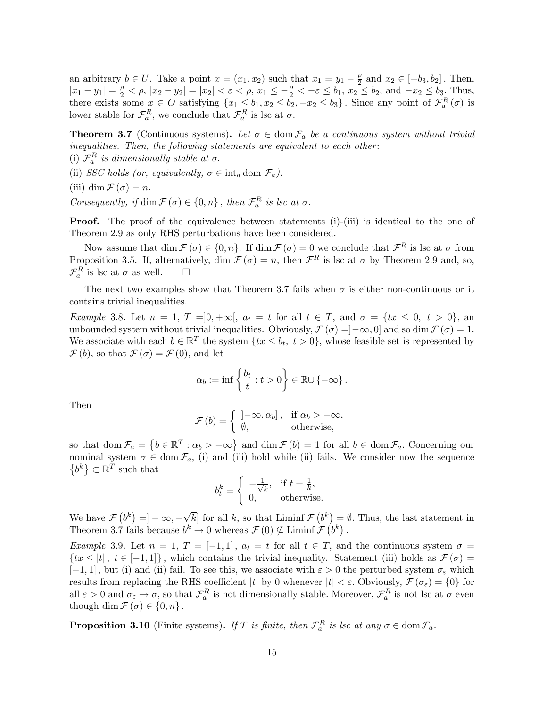an arbitrary  $b \in U$ . Take a point  $x = (x_1, x_2)$  such that  $x_1 = y_1 - \frac{\rho}{2}$  and  $x_2 \in [-b_3, b_2]$ . Then, an arbitrary  $v \in C$ . Take a point  $x = (x_1, x_2)$  such that  $x_1 = y_1 - \frac{1}{2}$  and  $x_2 \in [-\infty, \infty]$ . Then,<br>  $|x_1 - y_1| = \frac{\rho}{2} < \rho$ ,  $|x_2 - y_2| = |x_2| < \varepsilon < \rho$ ,  $x_1 \le -\frac{\rho}{2} < -\varepsilon \le b_1$ ,  $x_2 \le b_2$ , and  $-x_2 \le b_3$ . Thus, there exists some  $x \in O$  satisfying  $\{x_1 \leq b_1, x_2 \leq b_2, -x_2 \leq b_3\}$ . Since any point of  $\mathcal{F}_a^R(\sigma)$  is lower stable for  $\mathcal{F}_a^R$ , we conclude that  $\mathcal{F}_a^R$  is lsc at  $\sigma$ .

**Theorem 3.7** (Continuous systems). Let  $\sigma \in \text{dom } \mathcal{F}_a$  be a continuous system without trivial inequalities. Then, the following statements are equivalent to each other :

(i)  $\mathcal{F}_a^R$  is dimensionally stable at  $\sigma$ .

(ii) SSC holds (or, equivalently,  $\sigma \in \text{int}_a \text{dom } \mathcal{F}_a$ ).

(iii) dim  $\mathcal{F}(\sigma) = n$ .

Consequently, if  $\dim \mathcal{F}(\sigma) \in \{0, n\}$ , then  $\mathcal{F}_a^R$  is lsc at  $\sigma$ .

**Proof.** The proof of the equivalence between statements (i)-(iii) is identical to the one of Theorem 2.9 as only RHS perturbations have been considered.

Now assume that  $\dim \mathcal{F}(\sigma) \in \{0, n\}$ . If  $\dim \mathcal{F}(\sigma) = 0$  we conclude that  $\mathcal{F}^R$  is lsc at  $\sigma$  from Proposition 3.5. If, alternatively, dim  $\mathcal{F}(\sigma) = n$ , then  $\mathcal{F}^R$  is lsc at  $\sigma$  by Theorem 2.9 and, so,  $\mathcal{F}_a^R$  is lsc at  $\sigma$  as well.  $\Box$ 

The next two examples show that Theorem 3.7 fails when  $\sigma$  is either non-continuous or it contains trivial inequalities.

Example 3.8. Let  $n = 1, T = ]0, +\infty[$ ,  $a_t = t$  for all  $t \in T$ , and  $\sigma = \{tx \leq 0, t > 0\}$ , and unbounded system without trivial inequalities. Obviously,  $\mathcal{F}(\sigma) = ]-\infty, 0]$  and so dim  $\mathcal{F}(\sigma) = 1$ . We associate with each  $b \in \mathbb{R}^T$  the system  $\{tx \leq b_t, t > 0\}$ , whose feasible set is represented by  $\mathcal{F}(b)$ , so that  $\mathcal{F}(\sigma) = \mathcal{F}(0)$ , and let

$$
\alpha_b := \inf \left\{ \frac{b_t}{t} : t > 0 \right\} \in \mathbb{R} \cup \{-\infty\} .
$$

Then

$$
\mathcal{F}(b) = \begin{cases} ]-\infty, \alpha_b], & \text{if } \alpha_b > -\infty, \\ \emptyset, & \text{otherwise}, \end{cases}
$$

so that dom  $\mathcal{F}_a = \{b \in \mathbb{R}^T : \alpha_b > -\infty\}$  and dim  $\mathcal{F}(b) = 1$  for all  $b \in \text{dom } \mathcal{F}_a$ . Concerning our nominal system  $\sigma \in \text{dom } \mathcal{F}_a$ , (i) and (iii) hold while (ii) fails. We consider now the sequence  $\left\{b^k\right\}\subset\mathbb{R}^T$  such that

$$
b_t^k = \begin{cases} -\frac{1}{\sqrt{k}}, & \text{if } t = \frac{1}{k}, \\ 0, & \text{otherwise.} \end{cases}
$$

We have  $\mathcal{F}(b^k) = ]-\infty, -\sqrt{k}]$  for all k, so that Liminf  $\mathcal{F}(b^k) = \emptyset$ . Thus, the last statement in Theorem 3.7 fails because  $b^k \to 0$  whereas  $\mathcal{F}(0) \nsubseteq \text{Limit } \mathcal{F}(b^k)$ .

Example 3.9. Let  $n = 1, T = [-1, 1], a_t = t$  for all  $t \in T$ , and the continuous system  $\sigma =$  $\{tx \leq |t|, t \in [-1,1]\}\$ , which contains the trivial inequality. Statement (iii) holds as  $\mathcal{F}(\sigma) =$  $[-1, 1]$ , but (i) and (ii) fail. To see this, we associate with  $\varepsilon > 0$  the perturbed system  $\sigma_{\varepsilon}$  which results from replacing the RHS coefficient |t| by 0 whenever  $|t| < \varepsilon$ . Obviously,  $\mathcal{F}(\sigma_{\varepsilon}) = \{0\}$  for all  $\varepsilon > 0$  and  $\sigma_{\varepsilon} \to \sigma$ , so that  $\mathcal{F}_a^R$  is not dimensionally stable. Moreover,  $\mathcal{F}_a^R$  is not lsc at  $\sigma$  even though dim  $\mathcal{F}(\sigma) \in \{0, n\}$ .

**Proposition 3.10** (Finite systems). If T is finite, then  $\mathcal{F}_a^R$  is lsc at any  $\sigma \in \text{dom } \mathcal{F}_a$ .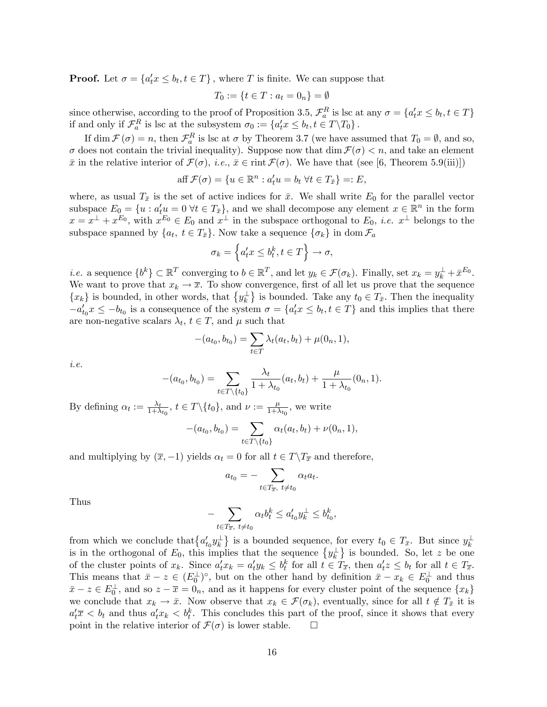**Proof.** Let  $\sigma = \{a'_t x \leq b_t, t \in T\}$ , where T is finite. We can suppose that

$$
T_0 := \{ t \in T : a_t = 0_n \} = \emptyset
$$

since otherwise, according to the proof of Proposition 3.5,  $\mathcal{F}_a^R$  is lsc at any  $\sigma = \{a_t^{\prime} x \leq b_t, t \in T\}$ if and only if  $\mathcal{F}_a^R$  is lsc at the subsystem  $\sigma_0 := \{a'_t x \leq b_t, t \in T \backslash T_0\}$ .

If  $\dim \mathcal{F}(\sigma) = n$ , then  $\mathcal{F}_a^R$  is lsc at  $\sigma$  by Theorem 3.7 (we have assumed that  $T_0 = \emptyset$ , and so,  $\sigma$  does not contain the trivial inequality). Suppose now that dim  $\mathcal{F}(\sigma) < n$ , and take an element  $\bar{x}$  in the relative interior of  $\mathcal{F}(\sigma)$ , i.e.,  $\bar{x} \in \text{rint }\mathcal{F}(\sigma)$ . We have that (see [6, Theorem 5.9(iii)])

aff 
$$
\mathcal{F}(\sigma) = \{u \in \mathbb{R}^n : a_t' u = b_t \ \forall t \in T_{\bar{x}}\} =: E
$$
,

where, as usual  $T_{\bar{x}}$  is the set of active indices for  $\bar{x}$ . We shall write  $E_0$  for the parallel vector subspace  $E_0 = \{u : a_t^{\prime} u = 0 \,\forall t \in T_{\bar{x}}\}$ , and we shall decompose any element  $x \in \mathbb{R}^n$  in the form  $x = x^{\perp} + x^{E_0}$ , with  $x^{E_0} \in E_0$  and  $x^{\perp}$  in the subspace orthogonal to  $E_0$ , *i.e.*  $x^{\perp}$  belongs to the subspace spanned by  $\{a_t, t \in T_{\bar{x}}\}$ . Now take a sequence  $\{\sigma_k\}$  in dom  $\mathcal{F}_a$ 

$$
\sigma_k = \left\{ a_t' x \le b_t^k, t \in T \right\} \to \sigma,
$$

*i.e.* a sequence  $\{b^k\} \subset \mathbb{R}^T$  converging to  $b \in \mathbb{R}^T$ , and let  $y_k \in \mathcal{F}(\sigma_k)$ . Finally, set  $x_k = y_k^{\perp} + \bar{x}^{E_0}$ . We want to prove that  $x_k \to \overline{x}$ . To show convergence, first of all let us prove that the sequence  ${x_k}$  is bounded, in other words, that  ${y_k^{\perp}}$  is bounded. Take any  $t_0 \in T_{\bar{x}}$ . Then the inequality  $-a'_{t_0}x \leq -b_{t_0}$  is a consequence of the system  $\sigma = \{a'_t x \leq b_t, t \in T\}$  and this implies that there are non-negative scalars  $\lambda_t$ ,  $t \in T$ , and  $\mu$  such that

$$
-(a_{t_0}, b_{t_0}) = \sum_{t \in T} \lambda_t(a_t, b_t) + \mu(0_n, 1),
$$

i.e.

$$
-(a_{t_0}, b_{t_0}) = \sum_{t \in T \setminus \{t_0\}} \frac{\lambda_t}{1 + \lambda_{t_0}} (a_t, b_t) + \frac{\mu}{1 + \lambda_{t_0}} (0_n, 1).
$$

By defining  $\alpha_t := \frac{\lambda_t}{1 + \lambda_{t_0}}, t \in T \setminus \{t_0\}$ , and  $\nu := \frac{\mu}{1 + \lambda_{t_0}}$  $\frac{\mu}{1+\lambda_{t_0}},$  we write

$$
-(a_{t_0}, b_{t_0}) = \sum_{t \in T \setminus \{t_0\}} \alpha_t(a_t, b_t) + \nu(0_n, 1),
$$

and multiplying by  $(\overline{x}, -1)$  yields  $\alpha_t = 0$  for all  $t \in T \backslash T_{\overline{x}}$  and therefore,

$$
a_{t_0} = -\sum_{t \in T_{\overline{x}}, \ t \neq t_0} \alpha_t a_t.
$$

Thus

$$
-\sum_{t\in T_{\overline{x}},\ t\neq t_0}\alpha_t b_t^k\leq a_{t_0}'y_k^\perp\leq b_{t_0}^k,
$$

from which we conclude that  $\{a'_{t_0}y_k^{\perp}\}\$ is a bounded sequence, for every  $t_0 \in T_{\bar{x}}$ . But since  $y_k^{\perp}$ is in the orthogonal of  $E_0$ , this implies that the sequence  $\{y_k^{\perp}\}\$ is bounded. So, let z be one of the cluster points of  $x_k$ . Since  $a_t^{\prime} x_k = a_t^{\prime} y_k \leq b_t^k$  for all  $t \in T_{\overline{x}}$ , then  $a_t^{\prime} z \leq b_t$  for all  $t \in T_{\overline{x}}$ . This means that  $\bar{x} - z \in (E_0^{\perp})^{\circ}$ , but on the other hand by definition  $\bar{x} - x_k \in E_0^{\perp}$  and thus  $\bar{x} - z \in E_0^{\perp}$ , and so  $z - \bar{x} = 0_n$ , and as it happens for every cluster point of the sequence  $\{x_k\}$ we conclude that  $x_k \to \bar{x}$ . Now observe that  $x_k \in \mathcal{F}(\sigma_k)$ , eventually, since for all  $t \notin T_{\bar{x}}$  it is  $a'_t\overline{x} < b_t$  and thus  $a'_t x_k < b_t^k$ . This concludes this part of the proof, since it shows that every point in the relative interior of  $\mathcal{F}(\sigma)$  is lower stable.  $\Box$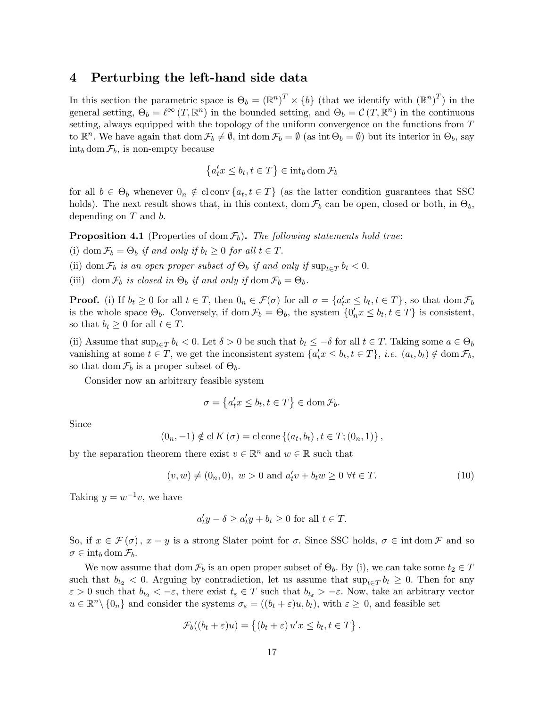#### 4 Perturbing the left-hand side data

In this section the parametric space is  $\Theta_b = (\mathbb{R}^n)^T \times \{b\}$  (that we identify with  $(\mathbb{R}^n)^T$ ) in the general setting,  $\Theta_b = \ell^{\infty} (T, \mathbb{R}^n)$  in the bounded setting, and  $\Theta_b = \mathcal{C} (T, \mathbb{R}^n)$  in the continuous setting, always equipped with the topology of the uniform convergence on the functions from  $T$ to  $\mathbb{R}^n$ . We have again that  $\text{dom }\mathcal{F}_b \neq \emptyset$ , int  $\text{dom }\mathcal{F}_b = \emptyset$  (as int  $\Theta_b = \emptyset$ ) but its interior in  $\Theta_b$ , say  $\int_{b}$  dom  $\mathcal{F}_{b}$ , is non-empty because

$$
\left\{a_t' x \le b_t, t \in T\right\} \in \operatorname{int}_b \operatorname{dom} \mathcal{F}_b
$$

for all  $b \in \Theta_b$  whenever  $0_n \notin \text{cl}$  conv $\{a_t, t \in T\}$  (as the latter condition guarantees that SSC holds). The next result shows that, in this context, dom  $\mathcal{F}_b$  can be open, closed or both, in  $\Theta_b$ , depending on  $T$  and  $b$ .

**Proposition 4.1** (Properties of dom  $\mathcal{F}_b$ ). The following statements hold true:

(i) dom  $\mathcal{F}_b = \Theta_b$  if and only if  $b_t \geq 0$  for all  $t \in T$ .

(ii) dom  $\mathcal{F}_b$  is an open proper subset of  $\Theta_b$  if and only if  $\sup_{t\in T} b_t < 0$ .

(iii) dom  $\mathcal{F}_b$  is closed in  $\Theta_b$  if and only if dom  $\mathcal{F}_b = \Theta_b$ .

**Proof.** (i) If  $b_t \ge 0$  for all  $t \in T$ , then  $0_n \in \mathcal{F}(\sigma)$  for all  $\sigma = \{a_t^{\prime} x \le b_t, t \in T\}$ , so that dom  $\mathcal{F}_b$ is the whole space  $\Theta_b$ . Conversely, if  $\text{dom } \mathcal{F}_b = \Theta_b$ , the system  $\{0'_n x \leq b_t, t \in T\}$  is consistent, so that  $b_t \geq 0$  for all  $t \in T$ .

(ii) Assume that  $\sup_{t\in\mathcal{T}} b_t < 0$ . Let  $\delta > 0$  be such that  $b_t \leq -\delta$  for all  $t \in \mathcal{T}$ . Taking some  $a \in \Theta_b$ vanishing at some  $t \in T$ , we get the inconsistent system  $\{a_t^{\prime} x \leq b_t, t \in T\}$ , *i.e.*  $(a_t, b_t) \notin \text{dom } \mathcal{F}_b$ , so that dom  $\mathcal{F}_b$  is a proper subset of  $\Theta_b$ .

Consider now an arbitrary feasible system

$$
\sigma = \left\{ a_t' x \le b_t, t \in T \right\} \in \text{dom}\,\mathcal{F}_b.
$$

Since

$$
(0_n, -1) \notin
$$
 cl  $K(\sigma) =$  cl cone  $\{(a_t, b_t), t \in T; (0_n, 1)\},$ 

by the separation theorem there exist  $v \in \mathbb{R}^n$  and  $w \in \mathbb{R}$  such that

$$
(v, w) \neq (0_n, 0), w > 0 \text{ and } a'_t v + b_t w \geq 0 \ \forall t \in T.
$$
 (10)

Taking  $y = w^{-1}v$ , we have

$$
a_t' y - \delta \ge a_t' y + b_t \ge 0 \text{ for all } t \in T.
$$

So, if  $x \in \mathcal{F}(\sigma)$ ,  $x - y$  is a strong Slater point for  $\sigma$ . Since SSC holds,  $\sigma \in \text{int dom }\mathcal{F}$  and so  $\sigma \in \mathrm{int}_b \mathrm{dom}\, \mathcal{F}_b.$ 

We now assume that dom  $\mathcal{F}_b$  is an open proper subset of  $\Theta_b$ . By (i), we can take some  $t_2 \in T$ such that  $b_{t_2} < 0$ . Arguing by contradiction, let us assume that  $\sup_{t \in T} b_t \geq 0$ . Then for any  $\varepsilon > 0$  such that  $b_{t_2} < -\varepsilon$ , there exist  $t_{\varepsilon} \in T$  such that  $b_{t_{\varepsilon}} > -\varepsilon$ . Now, take an arbitrary vector  $u \in \mathbb{R}^n \setminus \{0_n\}$  and consider the systems  $\sigma_{\varepsilon} = ((b_t + \varepsilon)u, b_t)$ , with  $\varepsilon \geq 0$ , and feasible set

$$
\mathcal{F}_b((b_t + \varepsilon)u) = \{(b_t + \varepsilon) u'x \leq b_t, t \in T\}.
$$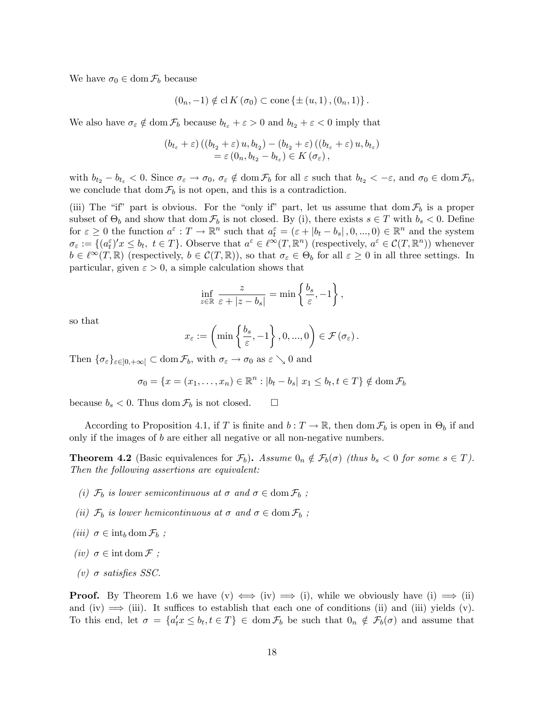We have  $\sigma_0 \in \text{dom } \mathcal{F}_b$  because

$$
(0_n, -1) \notin \mathrm{cl} K(\sigma_0) \subset \mathrm{cone} \{ \pm (u, 1), (0_n, 1) \}.
$$

We also have  $\sigma_{\varepsilon} \notin \text{dom } \mathcal{F}_b$  because  $b_{t_{\varepsilon}} + \varepsilon > 0$  and  $b_{t_2} + \varepsilon < 0$  imply that

$$
(b_{t_{\varepsilon}}+\varepsilon)((b_{t_{2}}+\varepsilon)u,b_{t_{2}})-(b_{t_{2}}+\varepsilon)((b_{t_{\varepsilon}}+\varepsilon)u,b_{t_{\varepsilon}}) = \varepsilon(0_{n},b_{t_{2}}-b_{t_{\varepsilon}}) \in K(\sigma_{\varepsilon}),
$$

with  $b_{t_2} - b_{t_\varepsilon} < 0$ . Since  $\sigma_{\varepsilon} \to \sigma_0$ ,  $\sigma_{\varepsilon} \notin \text{dom } \mathcal{F}_b$  for all  $\varepsilon$  such that  $b_{t_2} < -\varepsilon$ , and  $\sigma_0 \in \text{dom } \mathcal{F}_b$ , we conclude that dom  $\mathcal{F}_b$  is not open, and this is a contradiction.

(iii) The "if" part is obvious. For the "only if" part, let us assume that dom  $\mathcal{F}_b$  is a proper subset of  $\Theta_b$  and show that dom  $\mathcal{F}_b$  is not closed. By (i), there exists  $s \in T$  with  $b_s < 0$ . Define for  $\varepsilon \geq 0$  the function  $a^{\varepsilon}: T \to \mathbb{R}^n$  such that  $a^{\varepsilon}_t = (\varepsilon + |b_t - b_s|, 0, ..., 0) \in \mathbb{R}^n$  and the system  $\sigma_{\varepsilon} := \{ (a_{t}^{\varepsilon})'x \leq b_{t}, t \in T \}.$  Observe that  $a^{\varepsilon} \in \ell^{\infty}(T, \mathbb{R}^{n})$  (respectively,  $a^{\varepsilon} \in C(T, \mathbb{R}^{n})$ ) whenever  $b \in \ell^{\infty}(T,\mathbb{R})$  (respectively,  $b \in C(T,\mathbb{R})$ ), so that  $\sigma_{\varepsilon} \in \Theta_b$  for all  $\varepsilon \geq 0$  in all three settings. In particular, given  $\varepsilon > 0$ , a simple calculation shows that

$$
\inf_{z \in \mathbb{R}} \frac{z}{\varepsilon + |z - b_s|} = \min \left\{ \frac{b_s}{\varepsilon}, -1 \right\},\,
$$

so that

$$
x_{\varepsilon} := \left(\min\left\{\frac{b_s}{\varepsilon}, -1\right\}, 0, ..., 0\right) \in \mathcal{F}\left(\sigma_{\varepsilon}\right).
$$

Then  $\{\sigma_{\varepsilon}\}_{{\varepsilon}\in]0,+\infty[} \subset \text{dom}\,\mathcal{F}_b$ , with  $\sigma_{\varepsilon} \to \sigma_0$  as  ${\varepsilon} \searrow 0$  and

$$
\sigma_0 = \{x = (x_1, \dots, x_n) \in \mathbb{R}^n : |b_t - b_s| \ x_1 \le b_t, t \in T\} \notin \text{dom}\,\mathcal{F}_b
$$

because  $b_s < 0$ . Thus dom  $\mathcal{F}_b$  is not closed.  $\square$ 

According to Proposition 4.1, if T is finite and  $b: T \to \mathbb{R}$ , then dom  $\mathcal{F}_b$  is open in  $\Theta_b$  if and only if the images of b are either all negative or all non-negative numbers.

**Theorem 4.2** (Basic equivalences for  $\mathcal{F}_b$ ). Assume  $0_n \notin \mathcal{F}_b(\sigma)$  (thus  $b_s < 0$  for some  $s \in T$ ). Then the following assertions are equivalent:

- (i)  $\mathcal{F}_b$  is lower semicontinuous at  $\sigma$  and  $\sigma \in \text{dom}\, \mathcal{F}_b$ ;
- (ii)  $\mathcal{F}_b$  is lower hemicontinuous at  $\sigma$  and  $\sigma \in \text{dom } \mathcal{F}_b$ ;
- $(iii) \ \sigma \in \mathrm{int}_b \, \mathrm{dom} \, \mathcal{F}_b$ ;
- (iv)  $\sigma \in \text{int dom}\,\mathcal{F}$ ;
- (v)  $\sigma$  satisfies SSC.

**Proof.** By Theorem 1.6 we have  $(v) \iff (iv) \implies (i)$ , while we obviously have  $(i) \implies (ii)$ and (iv)  $\implies$  (iii). It suffices to establish that each one of conditions (ii) and (iii) yields (v). To this end, let  $\sigma = \{a_t^t x \le b_t, t \in T\} \in \text{dom } \mathcal{F}_b$  be such that  $0_n \notin \mathcal{F}_b(\sigma)$  and assume that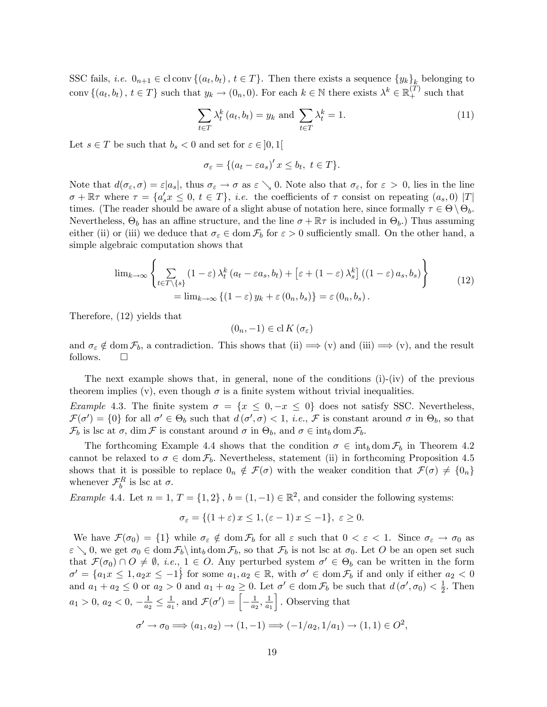SSC fails, *i.e.*  $0_{n+1} \in \text{cl} \text{ conv } \{(a_t, b_t), t \in T\}$ . Then there exists a sequence  $\{y_k\}_{k=0}^R$  belonging to conv  $\{(a_t, b_t), t \in T\}$  such that  $y_k \to (0_n, 0)$ . For each  $k \in \mathbb{N}$  there exists  $\lambda^k \in \mathbb{R}_+^{(T)}$  such that

$$
\sum_{t \in T} \lambda_t^k (a_t, b_t) = y_k \text{ and } \sum_{t \in T} \lambda_t^k = 1.
$$
\n(11)

Let  $s \in T$  be such that  $b_s < 0$  and set for  $\varepsilon \in ]0,1[$ 

$$
\sigma_{\varepsilon} = \{ (a_t - \varepsilon a_s)' \, x \le b_t, \ t \in T \}.
$$

Note that  $d(\sigma_{\varepsilon}, \sigma) = \varepsilon |a_{s}|$ , thus  $\sigma_{\varepsilon} \to \sigma$  as  $\varepsilon \searrow 0$ . Note also that  $\sigma_{\varepsilon}$ , for  $\varepsilon > 0$ , lies in the line  $\sigma + \mathbb{R}\tau$  where  $\tau = \{a'_s x \leq 0, t \in T\}$ , *i.e.* the coefficients of  $\tau$  consist on repeating  $(a_s, 0)$  |T| times. (The reader should be aware of a slight abuse of notation here, since formally  $\tau \in \Theta \setminus \Theta_b$ . Nevertheless,  $\Theta_b$  has an affine structure, and the line  $\sigma + \mathbb{R}\tau$  is included in  $\Theta_b$ .) Thus assuming either (ii) or (iii) we deduce that  $\sigma_{\varepsilon} \in \text{dom } \mathcal{F}_{b}$  for  $\varepsilon > 0$  sufficiently small. On the other hand, a simple algebraic computation shows that

$$
\lim_{k \to \infty} \left\{ \sum_{t \in T \setminus \{s\}} (1 - \varepsilon) \lambda_t^k (a_t - \varepsilon a_s, b_t) + \left[ \varepsilon + (1 - \varepsilon) \lambda_s^k \right] ((1 - \varepsilon) a_s, b_s) \right\} \n= \lim_{k \to \infty} \left\{ (1 - \varepsilon) y_k + \varepsilon (0_n, b_s) \right\} = \varepsilon (0_n, b_s).
$$
\n(12)

Therefore, (12) yields that

$$
(0_n,-1)\in\operatorname{cl} K\left(\sigma_\varepsilon\right)
$$

and  $\sigma_{\varepsilon} \notin \text{dom } \mathcal{F}_b$ , a contradiction. This shows that (ii)  $\Longrightarrow$  (v) and (iii)  $\Longrightarrow$  (v), and the result follows follows.

The next example shows that, in general, none of the conditions (i)-(iv) of the previous theorem implies (v), even though  $\sigma$  is a finite system without trivial inequalities.

Example 4.3. The finite system  $\sigma = \{x \leq 0, -x \leq 0\}$  does not satisfy SSC. Nevertheless,  $\mathcal{F}(\sigma') = \{0\}$  for all  $\sigma' \in \Theta_b$  such that  $d(\sigma', \sigma) < 1$ , *i.e.*,  $\mathcal{F}$  is constant around  $\sigma$  in  $\Theta_b$ , so that  $\mathcal{F}_b$  is lsc at  $\sigma$ , dim  $\mathcal F$  is constant around  $\sigma$  in  $\Theta_b$ , and  $\sigma \in \text{int}_b \text{ dom }\mathcal{F}_b$ .

The forthcoming Example 4.4 shows that the condition  $\sigma \in \text{int}_b \text{dom } \mathcal{F}_b$  in Theorem 4.2 cannot be relaxed to  $\sigma \in \text{dom } \mathcal{F}_b$ . Nevertheless, statement (ii) in forthcoming Proposition 4.5 shows that it is possible to replace  $0_n \notin \mathcal{F}(\sigma)$  with the weaker condition that  $\mathcal{F}(\sigma) \neq \{0_n\}$ whenever  $\mathcal{F}_b^R$  is lsc at  $\sigma$ .

Example 4.4. Let  $n = 1, T = \{1, 2\}, b = (1, -1) \in \mathbb{R}^2$ , and consider the following systems:

$$
\sigma_{\varepsilon} = \{(1+\varepsilon)x \le 1, (\varepsilon - 1)x \le -1\}, \ \varepsilon \ge 0.
$$

We have  $\mathcal{F}(\sigma_0) = \{1\}$  while  $\sigma_{\varepsilon} \notin \text{dom } \mathcal{F}_b$  for all  $\varepsilon$  such that  $0 < \varepsilon < 1$ . Since  $\sigma_{\varepsilon} \to \sigma_0$  as  $\varepsilon \setminus 0$ , we get  $\sigma_0 \in \text{dom } \mathcal{F}_b \setminus \text{int}_b \text{dom } \mathcal{F}_b$ , so that  $\mathcal{F}_b$  is not lsc at  $\sigma_0$ . Let O be an open set such that  $\mathcal{F}(\sigma_0) \cap O \neq \emptyset$ , *i.e.*,  $1 \in O$ . Any perturbed system  $\sigma' \in \Theta_b$  can be written in the form  $\sigma' = \{a_1x \leq 1, a_2x \leq -1\}$  for some  $a_1, a_2 \in \mathbb{R}$ , with  $\sigma' \in \text{dom } \mathcal{F}_b$  if and only if either  $a_2 < 0$ and  $a_1 + a_2 \leq 0$  or  $a_2 > 0$  and  $a_1 + a_2 \geq 0$ . Let  $\sigma' \in \text{dom } \mathcal{F}_b$  be such that  $d(\sigma', \sigma_0) < \frac{1}{2}$  $\frac{1}{2}$ . Then  $a_1 > 0, a_2 < 0, -\frac{1}{a_2}$  $\frac{1}{a_2} \leq \frac{1}{a_1}$  $\frac{1}{a_1}$ , and  $\mathcal{F}(\sigma') = \left[-\frac{1}{a_2}\right]$  $\frac{1}{a_2}, \frac{1}{a_1}$  $a_1$ | Observing that

$$
\sigma' \to \sigma_0 \Longrightarrow (a_1, a_2) \to (1, -1) \Longrightarrow (-1/a_2, 1/a_1) \to (1, 1) \in O^2,
$$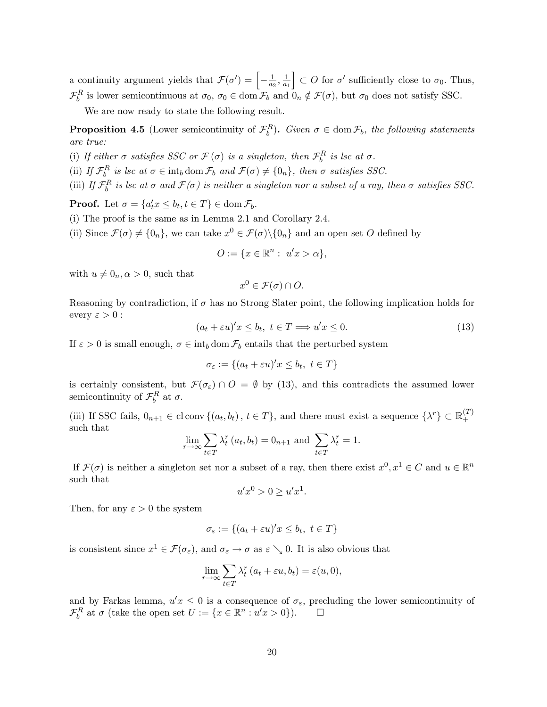a continuity argument yields that  $\mathcal{F}(\sigma') = \left[-\frac{1}{a_1}\right]$  $\frac{1}{a_2}, \frac{1}{a_1}$  $\overline{a_1}$  $\Big\} \subset O$  for  $\sigma'$  sufficiently close to  $\sigma_0$ . Thus,  $\mathcal{F}_{b}^{R}$  is lower semicontinuous at  $\sigma_0$ ,  $\sigma_0 \in \text{dom } \mathcal{F}_{b}$  and  $0_n \notin \mathcal{F}(\sigma)$ , but  $\sigma_0$  does not satisfy SSC.

We are now ready to state the following result.

**Proposition 4.5** (Lower semicontinuity of  $\mathcal{F}_b^R$ ). Given  $\sigma \in \text{dom } \mathcal{F}_b$ , the following statements are true:

(i) If either  $\sigma$  satisfies SSC or  $\mathcal{F}(\sigma)$  is a singleton, then  $\mathcal{F}_{b}^{R}$  is lsc at  $\sigma$ .

(ii) If  $\mathcal{F}_b^R$  is lsc at  $\sigma \in \text{int}_b \text{ dom } \mathcal{F}_b$  and  $\mathcal{F}(\sigma) \neq \{0_n\}$ , then  $\sigma$  satisfies SSC.

(iii) If  $\mathcal{F}_b^R$  is lsc at  $\sigma$  and  $\mathcal{F}(\sigma)$  is neither a singleton nor a subset of a ray, then  $\sigma$  satisfies SSC.

**Proof.** Let  $\sigma = \{a_t^{\prime} x \leq b_t, t \in T\} \in \text{dom } \mathcal{F}_b$ .

- (i) The proof is the same as in Lemma 2.1 and Corollary 2.4.
- (ii) Since  $\mathcal{F}(\sigma) \neq \{0_n\}$ , we can take  $x^0 \in \mathcal{F}(\sigma) \setminus \{0_n\}$  and an open set O defined by

$$
O := \{ x \in \mathbb{R}^n : u'x > \alpha \},\
$$

with  $u \neq 0_n, \alpha > 0$ , such that

$$
x^0 \in \mathcal{F}(\sigma) \cap O.
$$

Reasoning by contradiction, if  $\sigma$  has no Strong Slater point, the following implication holds for every  $\varepsilon > 0$ :

$$
(a_t + \varepsilon u)'x \le b_t, \ t \in T \Longrightarrow u'x \le 0. \tag{13}
$$

If  $\varepsilon > 0$  is small enough,  $\sigma \in \text{int}_b$  dom  $\mathcal{F}_b$  entails that the perturbed system

$$
\sigma_{\varepsilon} := \{(a_t + \varepsilon u)'x \le b_t, \ t \in T\}
$$

is certainly consistent, but  $\mathcal{F}(\sigma_{\varepsilon}) \cap O = \emptyset$  by (13), and this contradicts the assumed lower semicontinuity of  $\mathcal{F}_b^R$  at  $\sigma$ .

(iii) If SSC fails,  $0_{n+1} \in \text{cl} \text{ conv } \{(a_t, b_t), t \in T\}$ , and there must exist a sequence  $\{\lambda^r\} \subset \mathbb{R}_+^{(T)}$ + such that

$$
\lim_{r \to \infty} \sum_{t \in T} \lambda_t^r (a_t, b_t) = 0_{n+1} \text{ and } \sum_{t \in T} \lambda_t^r = 1.
$$

If  $\mathcal{F}(\sigma)$  is neither a singleton set nor a subset of a ray, then there exist  $x^0, x^1 \in C$  and  $u \in \mathbb{R}^n$ such that

$$
u'x^0 > 0 \ge u'x^1.
$$

Then, for any  $\varepsilon > 0$  the system

$$
\sigma_{\varepsilon} := \{(a_t + \varepsilon u)'x \le b_t, \ t \in T\}
$$

is consistent since  $x^1 \in \mathcal{F}(\sigma_{\varepsilon})$ , and  $\sigma_{\varepsilon} \to \sigma$  as  $\varepsilon \searrow 0$ . It is also obvious that

$$
\lim_{r \to \infty} \sum_{t \in T} \lambda_t^r (a_t + \varepsilon u, b_t) = \varepsilon(u, 0),
$$

and by Farkas lemma,  $u'x \leq 0$  is a consequence of  $\sigma_{\varepsilon}$ , precluding the lower semicontinuity of  $\mathcal{F}_b^R$  at  $\sigma$  (take the open set  $U := \{x \in \mathbb{R}^n : u'x > 0\}$ ).  $\Box$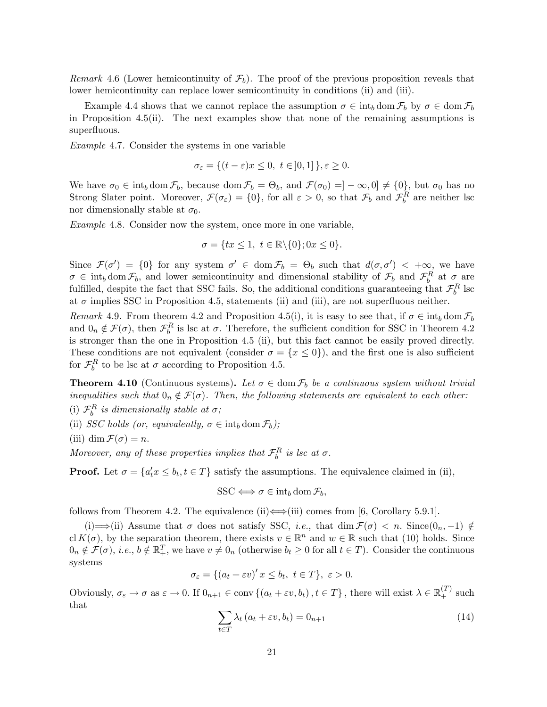Remark 4.6 (Lower hemicontinuity of  $\mathcal{F}_b$ ). The proof of the previous proposition reveals that lower hemicontinuity can replace lower semicontinuity in conditions (ii) and (iii).

Example 4.4 shows that we cannot replace the assumption  $\sigma \in \text{int}_b$  dom  $\mathcal{F}_b$  by  $\sigma \in \text{dom } \mathcal{F}_b$ in Proposition 4.5(ii). The next examples show that none of the remaining assumptions is superfluous.

Example 4.7. Consider the systems in one variable

$$
\sigma_{\varepsilon} = \{(t - \varepsilon)x \le 0, \ t \in ]0, 1] \}, \varepsilon \ge 0.
$$

We have  $\sigma_0 \in \text{int}_b \text{dom } \mathcal{F}_b$ , because  $\text{dom } \mathcal{F}_b = \Theta_b$ , and  $\mathcal{F}(\sigma_0) = ]-\infty, 0] \neq \{0\}$ , but  $\sigma_0$  has no Strong Slater point. Moreover,  $\mathcal{F}(\sigma_{\varepsilon}) = \{0\}$ , for all  $\varepsilon > 0$ , so that  $\mathcal{F}_{b}$  and  $\mathcal{F}_{b}^{R}$  are neither lsc nor dimensionally stable at  $\sigma_0$ .

Example 4.8. Consider now the system, once more in one variable,

$$
\sigma = \{tx \le 1, \ t \in \mathbb{R} \backslash \{0\}; 0x \le 0\}.
$$

Since  $\mathcal{F}(\sigma') = \{0\}$  for any system  $\sigma' \in \text{dom } \mathcal{F}_b = \Theta_b$  such that  $d(\sigma, \sigma') < +\infty$ , we have  $\sigma \in \text{int}_b \text{ dom}\,\mathcal{F}_b$ , and lower semicontinuity and dimensional stability of  $\mathcal{F}_b$  and  $\mathcal{F}_b^R$  at  $\sigma$  are fulfilled, despite the fact that SSC fails. So, the additional conditions guaranteeing that  $\mathcal{F}_b^R$  lsc at  $\sigma$  implies SSC in Proposition 4.5, statements (ii) and (iii), are not superfluous neither.

Remark 4.9. From theorem 4.2 and Proposition 4.5(i), it is easy to see that, if  $\sigma \in \text{int}_b \text{dom } \mathcal{F}_b$ and  $0_n \notin \mathcal{F}(\sigma)$ , then  $\mathcal{F}_{b}^{R}$  is lsc at  $\sigma$ . Therefore, the sufficient condition for SSC in Theorem 4.2 is stronger than the one in Proposition 4.5 (ii), but this fact cannot be easily proved directly. These conditions are not equivalent (consider  $\sigma = \{x \le 0\}$ ), and the first one is also sufficient for  $\mathcal{F}_{b}^{R}$  to be lsc at  $\sigma$  according to Proposition 4.5.

**Theorem 4.10** (Continuous systems). Let  $\sigma \in \text{dom } \mathcal{F}_b$  be a continuous system without trivial inequalities such that  $0_n \notin \mathcal{F}(\sigma)$ . Then, the following statements are equivalent to each other:

- (i)  $\mathcal{F}_b^R$  is dimensionally stable at  $\sigma$ ;
- (ii) SSC holds (or, equivalently,  $\sigma \in \text{int}_b \text{dom } \mathcal{F}_b$ );
- (iii) dim  $\mathcal{F}(\sigma) = n$ .

Moreover, any of these properties implies that  $\mathcal{F}_b^R$  is lsc at  $\sigma$ .

**Proof.** Let  $\sigma = \{a'_t x \le b_t, t \in T\}$  satisfy the assumptions. The equivalence claimed in (ii),

$$
SSC \Longleftrightarrow \sigma \in \mathrm{int}_b \mathrm{dom}\, \mathcal{F}_b,
$$

follows from Theorem 4.2. The equivalence (ii) $\Longleftrightarrow$ (iii) comes from [6, Corollary 5.9.1].

(i)  $\Longrightarrow$  (ii) Assume that  $\sigma$  does not satisfy SSC, *i.e.*, that dim  $\mathcal{F}(\sigma) < n$ . Since  $(0_n, -1) \notin$ cl  $K(\sigma)$ , by the separation theorem, there exists  $v \in \mathbb{R}^n$  and  $w \in \mathbb{R}$  such that (10) holds. Since  $0_n \notin \mathcal{F}(\sigma)$ , *i.e.*,  $b \notin \mathbb{R}^T_+$ , we have  $v \neq 0_n$  (otherwise  $b_t \geq 0$  for all  $t \in T$ ). Consider the continuous systems

$$
\sigma_{\varepsilon} = \{(a_t + \varepsilon v)' x \le b_t, \ t \in T\}, \ \varepsilon > 0.
$$

Obviously,  $\sigma_{\varepsilon} \to \sigma$  as  $\varepsilon \to 0$ . If  $0_{n+1} \in \text{conv}\{(a_t + \varepsilon v, b_t), t \in T\}$ , there will exist  $\lambda \in \mathbb{R}_+^{(T)}$  such that

$$
\sum_{t \in T} \lambda_t \left( a_t + \varepsilon v, b_t \right) = 0_{n+1} \tag{14}
$$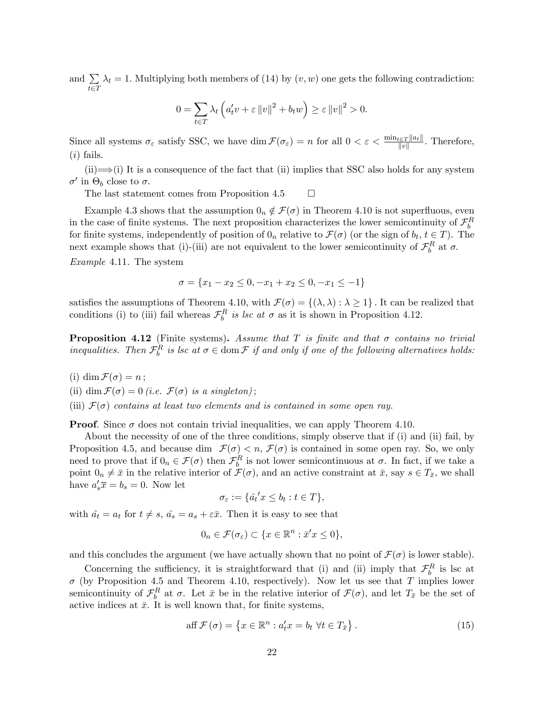and  $\sum$  $t \in T$  $\lambda_t = 1$ . Multiplying both members of (14) by  $(v, w)$  one gets the following contradiction:

$$
0 = \sum_{t \in T} \lambda_t \left( a'_t v + \varepsilon ||v||^2 + b_t w \right) \ge \varepsilon ||v||^2 > 0.
$$

Since all systems  $\sigma_{\varepsilon}$  satisfy SSC, we have  $\dim \mathcal{F}(\sigma_{\varepsilon}) = n$  for all  $0 < \varepsilon < \frac{\min_{t \in T} ||a_t||}{||v||}$ . Therefore,  $(i)$  fails.

 $(ii) \implies (i)$  It is a consequence of the fact that (ii) implies that SSC also holds for any system  $\sigma'$  in  $\Theta_b$  close to  $\sigma$ .

The last statement comes from Proposition 4.5  $\Box$ 

Example 4.3 shows that the assumption  $0_n \notin \mathcal{F}(\sigma)$  in Theorem 4.10 is not superfluous, even in the case of finite systems. The next proposition characterizes the lower semicontinuity of  $\mathcal{F}_{b}^{R}$ for finite systems, independently of position of  $0_n$  relative to  $\mathcal{F}(\sigma)$  (or the sign of  $b_t, t \in T$ ). The next example shows that (i)-(iii) are not equivalent to the lower semicontinuity of  $\mathcal{F}_b^R$  at  $\sigma$ .

Example 4.11. The system

$$
\sigma = \{x_1 - x_2 \le 0, -x_1 + x_2 \le 0, -x_1 \le -1\}
$$

satisfies the assumptions of Theorem 4.10, with  $\mathcal{F}(\sigma) = \{(\lambda, \lambda) : \lambda \geq 1\}$ . It can be realized that conditions (i) to (iii) fail whereas  $\mathcal{F}_b^R$  is lsc at  $\sigma$  as it is shown in Proposition 4.12.

**Proposition 4.12** (Finite systems). Assume that T is finite and that  $\sigma$  contains no trivial inequalities. Then  $\mathcal{F}_b^R$  is lsc at  $\sigma \in \text{dom}\,\mathcal{F}$  if and only if one of the following alternatives holds:

- (i) dim  $\mathcal{F}(\sigma) = n$ ;
- (ii) dim  $\mathcal{F}(\sigma) = 0$  (i.e.  $\mathcal{F}(\sigma)$  is a singleton);
- (iii)  $\mathcal{F}(\sigma)$  contains at least two elements and is contained in some open ray.

**Proof.** Since  $\sigma$  does not contain trivial inequalities, we can apply Theorem 4.10.

About the necessity of one of the three conditions, simply observe that if (i) and (ii) fail, by Proposition 4.5, and because dim  $\mathcal{F}(\sigma) < n$ ,  $\mathcal{F}(\sigma)$  is contained in some open ray. So, we only need to prove that if  $0_n \in \mathcal{F}(\sigma)$  then  $\mathcal{F}_b^R$  is not lower semicontinuous at  $\sigma$ . In fact, if we take a point  $0_n \neq \bar{x}$  in the relative interior of  $\mathcal{F}(\sigma)$ , and an active constraint at  $\bar{x}$ , say  $s \in T_{\bar{x}}$ , we shall have  $a'_s \overline{x} = b_s = 0$ . Now let

$$
\sigma_{\varepsilon} := \{\hat{a_t}^{\prime} x \le b_t : t \in T\},\
$$

with  $\hat{a}_t = a_t$  for  $t \neq s$ ,  $\hat{a}_s = a_s + \varepsilon \bar{x}$ . Then it is easy to see that

$$
0_n \in \mathcal{F}(\sigma_{\varepsilon}) \subset \{x \in \mathbb{R}^n : \bar{x}'x \le 0\},\
$$

and this concludes the argument (we have actually shown that no point of  $\mathcal{F}(\sigma)$  is lower stable).

Concerning the sufficiency, it is straightforward that (i) and (ii) imply that  $\mathcal{F}_b^R$  is lsc at  $\sigma$  (by Proposition 4.5 and Theorem 4.10, respectively). Now let us see that T implies lower semicontinuity of  $\mathcal{F}_{b}^{R}$  at  $\sigma$ . Let  $\bar{x}$  be in the relative interior of  $\mathcal{F}(\sigma)$ , and let  $T_{\bar{x}}$  be the set of active indices at  $\bar{x}$ . It is well known that, for finite systems,

$$
\text{aff } \mathcal{F}(\sigma) = \left\{ x \in \mathbb{R}^n : a_t^t x = b_t \ \forall t \in T_{\bar{x}} \right\}. \tag{15}
$$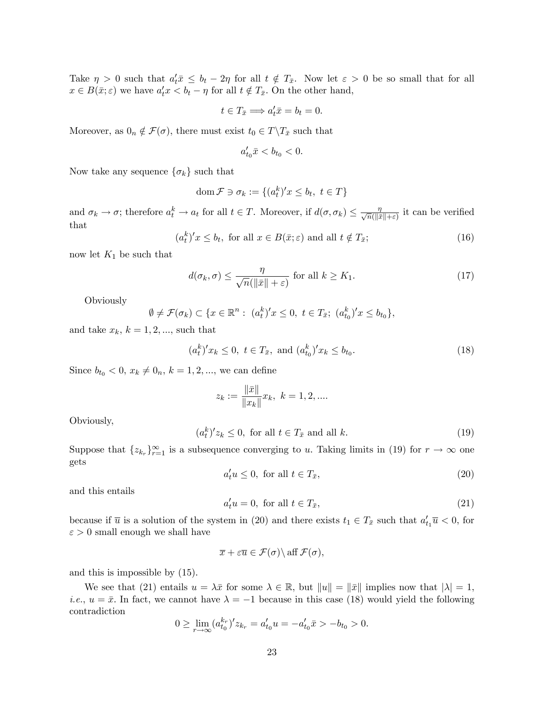Take  $\eta > 0$  such that  $a'_t \bar{x} \leq b_t - 2\eta$  for all  $t \notin T_{\bar{x}}$ . Now let  $\varepsilon > 0$  be so small that for all  $x \in B(\bar{x}; \varepsilon)$  we have  $a_t^{\prime} x < b_t - \eta$  for all  $t \notin T_{\bar{x}}$ . On the other hand,

$$
t \in T_{\bar{x}} \Longrightarrow a_t' \bar{x} = b_t = 0.
$$

Moreover, as  $0_n \notin \mathcal{F}(\sigma)$ , there must exist  $t_0 \in T \backslash T_{\bar{x}}$  such that

$$
a'_{t_0}\bar{x} < b_{t_0} < 0.
$$

Now take any sequence  $\{\sigma_k\}$  such that

$$
\operatorname{dom} \mathcal{F} \ni \sigma_k := \{(a_t^k)' x \le b_t, \ t \in T\}
$$

and  $\sigma_k \to \sigma$ ; therefore  $a_t^k \to a_t$  for all  $t \in T$ . Moreover, if  $d(\sigma, \sigma_k) \leq \frac{\eta}{\sqrt{n}(\|\bar{x}\| + \varepsilon)}$  it can be verified that

$$
(akt)'x \le bt, for all  $x \in B(\bar{x}; \varepsilon)$  and all  $t \notin T_{\bar{x}}$ ;\n
$$
(16)
$$
$$

now let  $K_1$  be such that

$$
d(\sigma_k, \sigma) \le \frac{\eta}{\sqrt{n}(\|\bar{x}\| + \varepsilon)} \text{ for all } k \ge K_1.
$$
 (17)

**Obviously** 

$$
\emptyset \neq \mathcal{F}(\sigma_k) \subset \{x \in \mathbb{R}^n : (a_t^k)'x \leq 0, t \in T_{\bar{x}}; (a_{t_0}^k)'x \leq b_{t_0}\},\
$$

and take  $x_k$ ,  $k = 1, 2, \dots$ , such that

$$
(a_t^k)' x_k \le 0, \ t \in T_{\bar{x}}, \text{ and } (a_{t_0}^k)' x_k \le b_{t_0}.
$$
 (18)

Since  $b_{t_0} < 0, x_k \neq 0_n, k = 1, 2, ...,$  we can define

$$
z_k := \frac{\|\bar{x}\|}{\|x_k\|} x_k, \ k = 1, 2, \dots
$$

Obviously,

$$
(atk)'zk \le 0, for all  $t \in T_{\bar{x}}$  and all  $k$ . (19)
$$

Suppose that  $\{z_{k_r}\}_{r=1}^{\infty}$  is a subsequence converging to u. Taking limits in (19) for  $r \to \infty$  one gets

$$
a_t' u \le 0, \text{ for all } t \in T_{\bar{x}},\tag{20}
$$

and this entails

$$
a_t' u = 0, \text{ for all } t \in T_{\bar{x}}, \tag{21}
$$

because if  $\overline{u}$  is a solution of the system in (20) and there exists  $t_1 \in T_{\overline{x}}$  such that  $a'_{t_1} \overline{u} < 0$ , for  $\varepsilon > 0$  small enough we shall have

$$
\overline{x} + \varepsilon \overline{u} \in \mathcal{F}(\sigma) \backslash \text{ aff } \mathcal{F}(\sigma),
$$

and this is impossible by (15).

We see that (21) entails  $u = \lambda \bar{x}$  for some  $\lambda \in \mathbb{R}$ , but  $||u|| = ||\bar{x}||$  implies now that  $|\lambda| = 1$ , *i.e.*,  $u = \bar{x}$ . In fact, we cannot have  $\lambda = -1$  because in this case (18) would yield the following contradiction

$$
0 \ge \lim_{r \to \infty} (a_{t_0}^{k_r})' z_{k_r} = a_{t_0}' u = -a_{t_0}' \bar{x} > -b_{t_0} > 0.
$$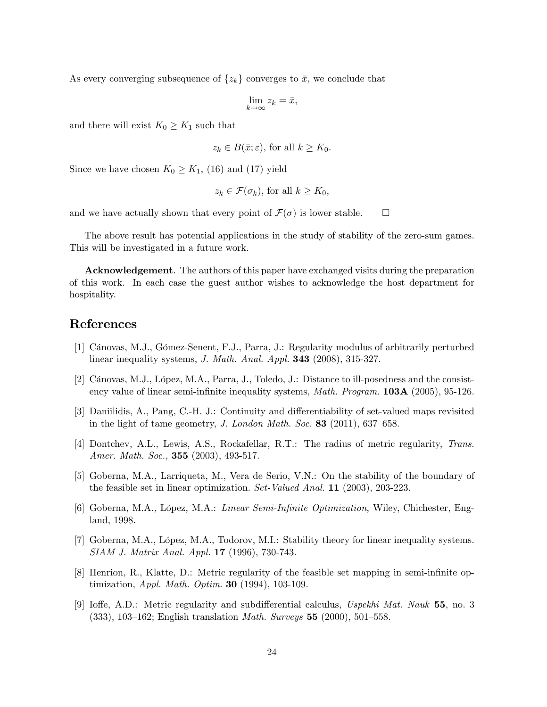As every converging subsequence of  $\{z_k\}$  converges to  $\bar{x}$ , we conclude that

$$
\lim_{k \to \infty} z_k = \bar{x},
$$

and there will exist  $K_0 \geq K_1$  such that

$$
z_k \in B(\bar{x}; \varepsilon)
$$
, for all  $k \ge K_0$ .

Since we have chosen  $K_0 \geq K_1$ , (16) and (17) yield

$$
z_k \in \mathcal{F}(\sigma_k)
$$
, for all  $k \ge K_0$ ,

and we have actually shown that every point of  $\mathcal{F}(\sigma)$  is lower stable.  $\Box$ 

The above result has potential applications in the study of stability of the zero-sum games. This will be investigated in a future work.

Acknowledgement. The authors of this paper have exchanged visits during the preparation of this work. In each case the guest author wishes to acknowledge the host department for hospitality.

## References

- [1] Cánovas, M.J., Gómez-Senent, F.J., Parra, J.: Regularity modulus of arbitrarily perturbed linear inequality systems, *J. Math. Anal. Appl.* **343** (2008), 315-327.
- [2] Cánovas, M.J., López, M.A., Parra, J., Toledo, J.: Distance to ill-posedness and the consistency value of linear semi-infinite inequality systems, *Math. Program.* **103A** (2005), 95-126.
- [3] Daniilidis, A., Pang, C.-H. J.: Continuity and differentiability of set-valued maps revisited in the light of tame geometry, J. London Math. Soc. 83 (2011), 637–658.
- [4] Dontchev, A.L., Lewis, A.S., Rockafellar, R.T.: The radius of metric regularity, Trans. Amer. Math. Soc., **355** (2003), 493-517.
- [5] Goberna, M.A., Larriqueta, M., Vera de Serio, V.N.: On the stability of the boundary of the feasible set in linear optimization. Set-Valued Anal. 11 (2003), 203-223.
- [6] Goberna, M.A., López, M.A.: *Linear Semi-Infinite Optimization*, Wiley, Chichester, England, 1998.
- [7] Goberna, M.A., López, M.A., Todorov, M.I.: Stability theory for linear inequality systems. SIAM J. Matrix Anal. Appl. 17 (1996), 730-743.
- [8] Henrion, R., Klatte, D.: Metric regularity of the feasible set mapping in semi-infinite optimization, Appl. Math. Optim. 30 (1994), 103-109.
- [9] Ioffe, A.D.: Metric regularity and subdifferential calculus, Uspekhi Mat. Nauk  $55$ , no. 3  $(333), 103-162;$  English translation *Math. Surveys* 55 (2000), 501–558.